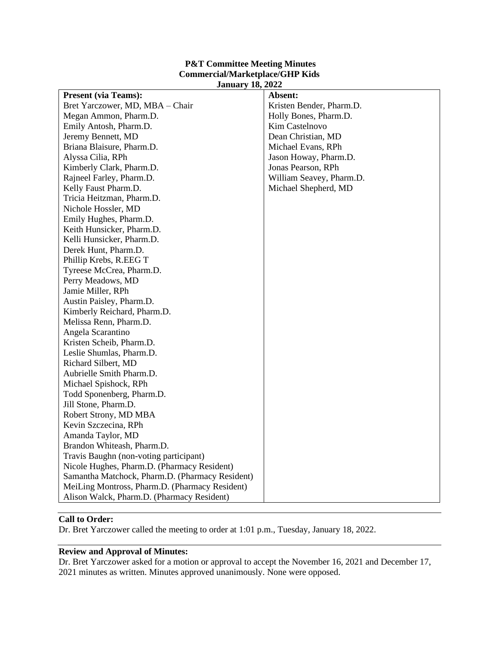### **P&T Committee Meeting Minutes Commercial/Marketplace/GHP Kids January 18, 2022**

| <b>Present (via Teams):</b>                     | Absent:                  |
|-------------------------------------------------|--------------------------|
| Bret Yarczower, MD, MBA - Chair                 | Kristen Bender, Pharm.D. |
| Megan Ammon, Pharm.D.                           | Holly Bones, Pharm.D.    |
| Emily Antosh, Pharm.D.                          | Kim Castelnovo           |
| Jeremy Bennett, MD                              | Dean Christian, MD       |
| Briana Blaisure, Pharm.D.                       | Michael Evans, RPh       |
| Alyssa Cilia, RPh                               | Jason Howay, Pharm.D.    |
| Kimberly Clark, Pharm.D.                        | Jonas Pearson, RPh       |
| Rajneel Farley, Pharm.D.                        | William Seavey, Pharm.D. |
| Kelly Faust Pharm.D.                            | Michael Shepherd, MD     |
| Tricia Heitzman, Pharm.D.                       |                          |
| Nichole Hossler, MD                             |                          |
| Emily Hughes, Pharm.D.                          |                          |
| Keith Hunsicker, Pharm.D.                       |                          |
| Kelli Hunsicker, Pharm.D.                       |                          |
| Derek Hunt, Pharm.D.                            |                          |
| Phillip Krebs, R.EEG T                          |                          |
| Tyreese McCrea, Pharm.D.                        |                          |
| Perry Meadows, MD                               |                          |
| Jamie Miller, RPh                               |                          |
| Austin Paisley, Pharm.D.                        |                          |
| Kimberly Reichard, Pharm.D.                     |                          |
| Melissa Renn, Pharm.D.                          |                          |
| Angela Scarantino                               |                          |
| Kristen Scheib, Pharm.D.                        |                          |
| Leslie Shumlas, Pharm.D.                        |                          |
| Richard Silbert, MD                             |                          |
| Aubrielle Smith Pharm.D.                        |                          |
| Michael Spishock, RPh                           |                          |
| Todd Sponenberg, Pharm.D.                       |                          |
| Jill Stone, Pharm.D.                            |                          |
| Robert Strony, MD MBA                           |                          |
| Kevin Szczecina, RPh                            |                          |
| Amanda Taylor, MD                               |                          |
| Brandon Whiteash, Pharm.D.                      |                          |
| Travis Baughn (non-voting participant)          |                          |
| Nicole Hughes, Pharm.D. (Pharmacy Resident)     |                          |
| Samantha Matchock, Pharm.D. (Pharmacy Resident) |                          |
| MeiLing Montross, Pharm.D. (Pharmacy Resident)  |                          |
| Alison Walck, Pharm.D. (Pharmacy Resident)      |                          |

# **Call to Order:**

Dr. Bret Yarczower called the meeting to order at 1:01 p.m., Tuesday, January 18, 2022.

# **Review and Approval of Minutes:**

Dr. Bret Yarczower asked for a motion or approval to accept the November 16, 2021 and December 17, 2021 minutes as written. Minutes approved unanimously. None were opposed.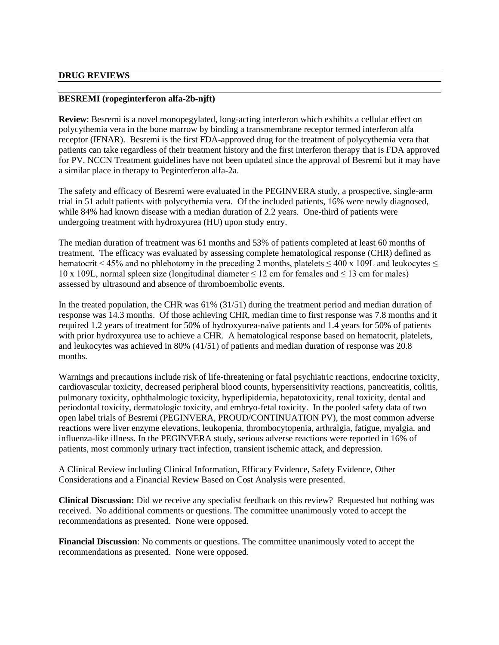### **DRUG REVIEWS**

#### **BESREMI (ropeginterferon alfa-2b-njft)**

**Review**: Besremi is a novel monopegylated, long-acting interferon which exhibits a cellular effect on polycythemia vera in the bone marrow by binding a transmembrane receptor termed interferon alfa receptor (IFNAR). Besremi is the first FDA-approved drug for the treatment of polycythemia vera that patients can take regardless of their treatment history and the first interferon therapy that is FDA approved for PV. NCCN Treatment guidelines have not been updated since the approval of Besremi but it may have a similar place in therapy to Peginterferon alfa-2a.

The safety and efficacy of Besremi were evaluated in the PEGINVERA study, a prospective, single-arm trial in 51 adult patients with polycythemia vera. Of the included patients, 16% were newly diagnosed, while 84% had known disease with a median duration of 2.2 years. One-third of patients were undergoing treatment with hydroxyurea (HU) upon study entry.

The median duration of treatment was 61 months and 53% of patients completed at least 60 months of treatment. The efficacy was evaluated by assessing complete hematological response (CHR) defined as hematocrit < 45% and no phlebotomy in the preceding 2 months, platelets  $\leq$  400 x 109L and leukocytes  $\leq$ 10 x 109L, normal spleen size (longitudinal diameter  $\leq$  12 cm for females and  $\leq$  13 cm for males) assessed by ultrasound and absence of thromboembolic events.

In the treated population, the CHR was 61% (31/51) during the treatment period and median duration of response was 14.3 months. Of those achieving CHR, median time to first response was 7.8 months and it required 1.2 years of treatment for 50% of hydroxyurea-naïve patients and 1.4 years for 50% of patients with prior hydroxyurea use to achieve a CHR. A hematological response based on hematocrit, platelets, and leukocytes was achieved in 80% (41/51) of patients and median duration of response was 20.8 months.

Warnings and precautions include risk of life-threatening or fatal psychiatric reactions, endocrine toxicity, cardiovascular toxicity, decreased peripheral blood counts, hypersensitivity reactions, pancreatitis, colitis, pulmonary toxicity, ophthalmologic toxicity, hyperlipidemia, hepatotoxicity, renal toxicity, dental and periodontal toxicity, dermatologic toxicity, and embryo-fetal toxicity. In the pooled safety data of two open label trials of Besremi (PEGINVERA, PROUD/CONTINUATION PV), the most common adverse reactions were liver enzyme elevations, leukopenia, thrombocytopenia, arthralgia, fatigue, myalgia, and influenza-like illness. In the PEGINVERA study, serious adverse reactions were reported in 16% of patients, most commonly urinary tract infection, transient ischemic attack, and depression.

A Clinical Review including Clinical Information, Efficacy Evidence, Safety Evidence, Other Considerations and a Financial Review Based on Cost Analysis were presented.

**Clinical Discussion:** Did we receive any specialist feedback on this review? Requested but nothing was received. No additional comments or questions. The committee unanimously voted to accept the recommendations as presented. None were opposed.

**Financial Discussion**: No comments or questions. The committee unanimously voted to accept the recommendations as presented. None were opposed.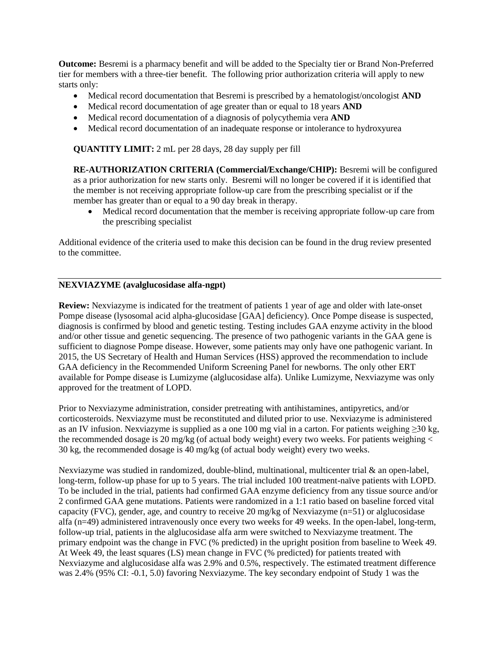**Outcome:** Besremi is a pharmacy benefit and will be added to the Specialty tier or Brand Non-Preferred tier for members with a three-tier benefit. The following prior authorization criteria will apply to new starts only:

- Medical record documentation that Besremi is prescribed by a hematologist/oncologist **AND**
- Medical record documentation of age greater than or equal to 18 years **AND**
- Medical record documentation of a diagnosis of polycythemia vera **AND**
- Medical record documentation of an inadequate response or intolerance to hydroxyurea

**QUANTITY LIMIT:** 2 mL per 28 days, 28 day supply per fill

**RE-AUTHORIZATION CRITERIA (Commercial/Exchange/CHIP):** Besremi will be configured as a prior authorization for new starts only. Besremi will no longer be covered if it is identified that the member is not receiving appropriate follow-up care from the prescribing specialist or if the member has greater than or equal to a 90 day break in therapy.

• Medical record documentation that the member is receiving appropriate follow-up care from the prescribing specialist

Additional evidence of the criteria used to make this decision can be found in the drug review presented to the committee.

### **NEXVIAZYME (avalglucosidase alfa-ngpt)**

**Review:** Nexviazyme is indicated for the treatment of patients 1 year of age and older with late-onset Pompe disease (lysosomal acid alpha-glucosidase [GAA] deficiency). Once Pompe disease is suspected, diagnosis is confirmed by blood and genetic testing. Testing includes GAA enzyme activity in the blood and/or other tissue and genetic sequencing. The presence of two pathogenic variants in the GAA gene is sufficient to diagnose Pompe disease. However, some patients may only have one pathogenic variant. In 2015, the US Secretary of Health and Human Services (HSS) approved the recommendation to include GAA deficiency in the Recommended Uniform Screening Panel for newborns. The only other ERT available for Pompe disease is Lumizyme (alglucosidase alfa). Unlike Lumizyme, Nexviazyme was only approved for the treatment of LOPD.

Prior to Nexviazyme administration, consider pretreating with antihistamines, antipyretics, and/or corticosteroids. Nexviazyme must be reconstituted and diluted prior to use. Nexviazyme is administered as an IV infusion. Nexviazyme is supplied as a one 100 mg vial in a carton. For patients weighing ≥30 kg, the recommended dosage is 20 mg/kg (of actual body weight) every two weeks. For patients weighing < 30 kg, the recommended dosage is 40 mg/kg (of actual body weight) every two weeks.

Nexviazyme was studied in randomized, double-blind, multinational, multicenter trial & an open-label, long-term, follow-up phase for up to 5 years. The trial included 100 treatment-naïve patients with LOPD. To be included in the trial, patients had confirmed GAA enzyme deficiency from any tissue source and/or 2 confirmed GAA gene mutations. Patients were randomized in a 1:1 ratio based on baseline forced vital capacity (FVC), gender, age, and country to receive 20 mg/kg of Nexviazyme (n=51) or alglucosidase alfa (n=49) administered intravenously once every two weeks for 49 weeks. In the open-label, long-term, follow-up trial, patients in the alglucosidase alfa arm were switched to Nexviazyme treatment. The primary endpoint was the change in FVC (% predicted) in the upright position from baseline to Week 49. At Week 49, the least squares (LS) mean change in FVC (% predicted) for patients treated with Nexviazyme and alglucosidase alfa was 2.9% and 0.5%, respectively. The estimated treatment difference was 2.4% (95% CI: -0.1, 5.0) favoring Nexviazyme. The key secondary endpoint of Study 1 was the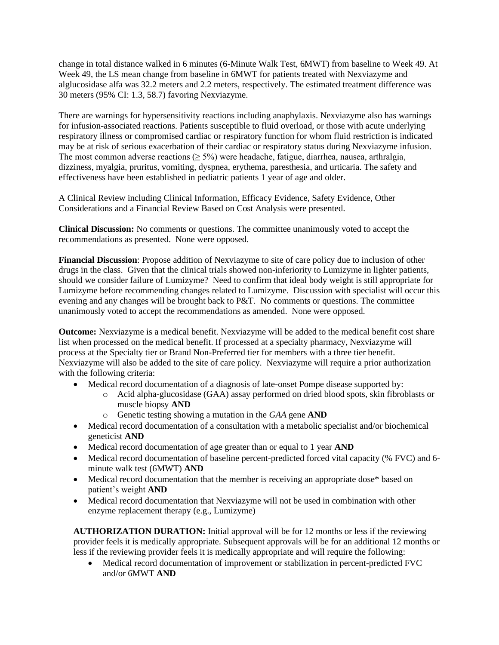change in total distance walked in 6 minutes (6-Minute Walk Test, 6MWT) from baseline to Week 49. At Week 49, the LS mean change from baseline in 6MWT for patients treated with Nexviazyme and alglucosidase alfa was 32.2 meters and 2.2 meters, respectively. The estimated treatment difference was 30 meters (95% CI: 1.3, 58.7) favoring Nexviazyme.

There are warnings for hypersensitivity reactions including anaphylaxis. Nexviazyme also has warnings for infusion-associated reactions. Patients susceptible to fluid overload, or those with acute underlying respiratory illness or compromised cardiac or respiratory function for whom fluid restriction is indicated may be at risk of serious exacerbation of their cardiac or respiratory status during Nexviazyme infusion. The most common adverse reactions ( $\geq$  5%) were headache, fatigue, diarrhea, nausea, arthralgia, dizziness, myalgia, pruritus, vomiting, dyspnea, erythema, paresthesia, and urticaria. The safety and effectiveness have been established in pediatric patients 1 year of age and older.

A Clinical Review including Clinical Information, Efficacy Evidence, Safety Evidence, Other Considerations and a Financial Review Based on Cost Analysis were presented.

**Clinical Discussion:** No comments or questions. The committee unanimously voted to accept the recommendations as presented. None were opposed.

**Financial Discussion**: Propose addition of Nexviazyme to site of care policy due to inclusion of other drugs in the class. Given that the clinical trials showed non-inferiority to Lumizyme in lighter patients, should we consider failure of Lumizyme? Need to confirm that ideal body weight is still appropriate for Lumizyme before recommending changes related to Lumizyme. Discussion with specialist will occur this evening and any changes will be brought back to P&T. No comments or questions. The committee unanimously voted to accept the recommendations as amended. None were opposed.

**Outcome:** Nexviazyme is a medical benefit. Nexviazyme will be added to the medical benefit cost share list when processed on the medical benefit. If processed at a specialty pharmacy, Nexviazyme will process at the Specialty tier or Brand Non-Preferred tier for members with a three tier benefit. Nexviazyme will also be added to the site of care policy. Nexviazyme will require a prior authorization with the following criteria:

- Medical record documentation of a diagnosis of late-onset Pompe disease supported by:
	- o Acid alpha-glucosidase (GAA) assay performed on dried blood spots, skin fibroblasts or muscle biopsy **AND**
	- o Genetic testing showing a mutation in the *GAA* gene **AND**
- Medical record documentation of a consultation with a metabolic specialist and/or biochemical geneticist **AND**
- Medical record documentation of age greater than or equal to 1 year **AND**
- Medical record documentation of baseline percent-predicted forced vital capacity (% FVC) and 6minute walk test (6MWT) **AND**
- Medical record documentation that the member is receiving an appropriate dose\* based on patient's weight **AND**
- Medical record documentation that Nexviazyme will not be used in combination with other enzyme replacement therapy (e.g., Lumizyme)

**AUTHORIZATION DURATION:** Initial approval will be for 12 months or less if the reviewing provider feels it is medically appropriate. Subsequent approvals will be for an additional 12 months or less if the reviewing provider feels it is medically appropriate and will require the following:

• Medical record documentation of improvement or stabilization in percent-predicted FVC and/or 6MWT **AND**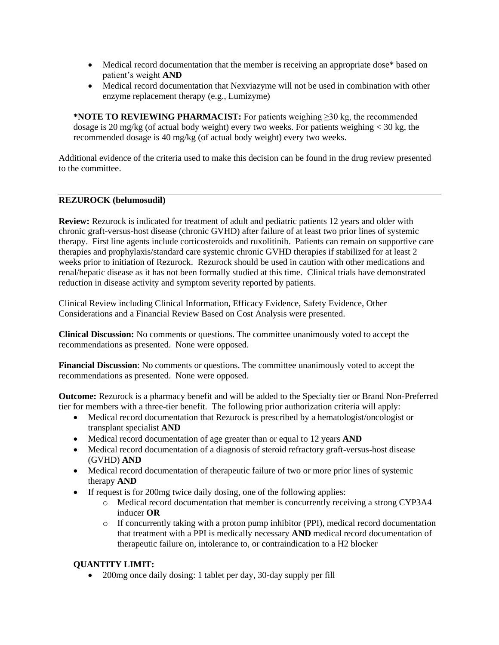- Medical record documentation that the member is receiving an appropriate dose\* based on patient's weight **AND**
- Medical record documentation that Nexviazyme will not be used in combination with other enzyme replacement therapy (e.g., Lumizyme)

**\*NOTE TO REVIEWING PHARMACIST:** For patients weighing ≥30 kg, the recommended dosage is 20 mg/kg (of actual body weight) every two weeks. For patients weighing  $\langle 30 \text{ kg}$ , the recommended dosage is 40 mg/kg (of actual body weight) every two weeks.

Additional evidence of the criteria used to make this decision can be found in the drug review presented to the committee.

#### **REZUROCK (belumosudil)**

**Review:** Rezurock is indicated for treatment of adult and pediatric patients 12 years and older with chronic graft-versus-host disease (chronic GVHD) after failure of at least two prior lines of systemic therapy. First line agents include corticosteroids and ruxolitinib. Patients can remain on supportive care therapies and prophylaxis/standard care systemic chronic GVHD therapies if stabilized for at least 2 weeks prior to initiation of Rezurock. Rezurock should be used in caution with other medications and renal/hepatic disease as it has not been formally studied at this time. Clinical trials have demonstrated reduction in disease activity and symptom severity reported by patients.

Clinical Review including Clinical Information, Efficacy Evidence, Safety Evidence, Other Considerations and a Financial Review Based on Cost Analysis were presented.

**Clinical Discussion:** No comments or questions. The committee unanimously voted to accept the recommendations as presented. None were opposed.

**Financial Discussion**: No comments or questions. The committee unanimously voted to accept the recommendations as presented. None were opposed.

**Outcome:** Rezurock is a pharmacy benefit and will be added to the Specialty tier or Brand Non-Preferred tier for members with a three-tier benefit. The following prior authorization criteria will apply:

- Medical record documentation that Rezurock is prescribed by a hematologist/oncologist or transplant specialist **AND**
- Medical record documentation of age greater than or equal to 12 years **AND**
- Medical record documentation of a diagnosis of steroid refractory graft-versus-host disease (GVHD) **AND**
- Medical record documentation of therapeutic failure of two or more prior lines of systemic therapy **AND**
- If request is for 200mg twice daily dosing, one of the following applies:
	- o Medical record documentation that member is concurrently receiving a strong CYP3A4 inducer **OR**
	- o If concurrently taking with a proton pump inhibitor (PPI), medical record documentation that treatment with a PPI is medically necessary **AND** medical record documentation of therapeutic failure on, intolerance to, or contraindication to a H2 blocker

### **QUANTITY LIMIT:**

• 200mg once daily dosing: 1 tablet per day, 30-day supply per fill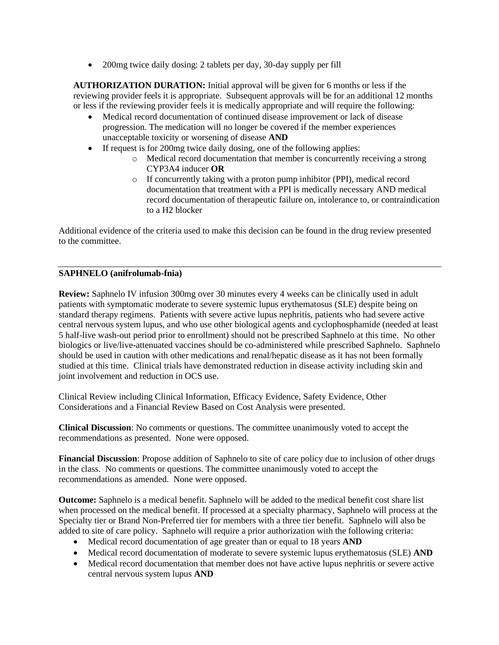• 200mg twice daily dosing: 2 tablets per day, 30-day supply per fill

**AUTHORIZATION DURATION:** Initial approval will be given for 6 months or less if the reviewing provider feels it is appropriate. Subsequent approvals will be for an additional 12 months or less if the reviewing provider feels it is medically appropriate and will require the following:

- Medical record documentation of continued disease improvement or lack of disease progression. The medication will no longer be covered if the member experiences unacceptable toxicity or worsening of disease **AND**
- If request is for 200mg twice daily dosing, one of the following applies:
	- o Medical record documentation that member is concurrently receiving a strong CYP3A4 inducer **OR**
	- o If concurrently taking with a proton pump inhibitor (PPI), medical record documentation that treatment with a PPI is medically necessary AND medical record documentation of therapeutic failure on, intolerance to, or contraindication to a H2 blocker

Additional evidence of the criteria used to make this decision can be found in the drug review presented to the committee.

# **SAPHNELO (anifrolumab-fnia)**

**Review:** Saphnelo IV infusion 300mg over 30 minutes every 4 weeks can be clinically used in adult patients with symptomatic moderate to severe systemic lupus erythematosus (SLE) despite being on standard therapy regimens. Patients with severe active lupus nephritis, patients who had severe active central nervous system lupus, and who use other biological agents and cyclophosphamide (needed at least 5 half-live wash-out period prior to enrollment) should not be prescribed Saphnelo at this time. No other biologics or live/live-attenuated vaccines should be co-administered while prescribed Saphnelo. Saphnelo should be used in caution with other medications and renal/hepatic disease as it has not been formally studied at this time. Clinical trials have demonstrated reduction in disease activity including skin and joint involvement and reduction in OCS use.

Clinical Review including Clinical Information, Efficacy Evidence, Safety Evidence, Other Considerations and a Financial Review Based on Cost Analysis were presented.

**Clinical Discussion**: No comments or questions. The committee unanimously voted to accept the recommendations as presented. None were opposed.

**Financial Discussion**: Propose addition of Saphnelo to site of care policy due to inclusion of other drugs in the class. No comments or questions. The committee unanimously voted to accept the recommendations as amended. None were opposed.

**Outcome:** Saphnelo is a medical benefit. Saphnelo will be added to the medical benefit cost share list when processed on the medical benefit. If processed at a specialty pharmacy, Saphnelo will process at the Specialty tier or Brand Non-Preferred tier for members with a three tier benefit. Saphnelo will also be added to site of care policy. Saphnelo will require a prior authorization with the following criteria:

- Medical record documentation of age greater than or equal to 18 years **AND**
- Medical record documentation of moderate to severe systemic lupus erythematosus (SLE) **AND**
- Medical record documentation that member does not have active lupus nephritis or severe active central nervous system lupus **AND**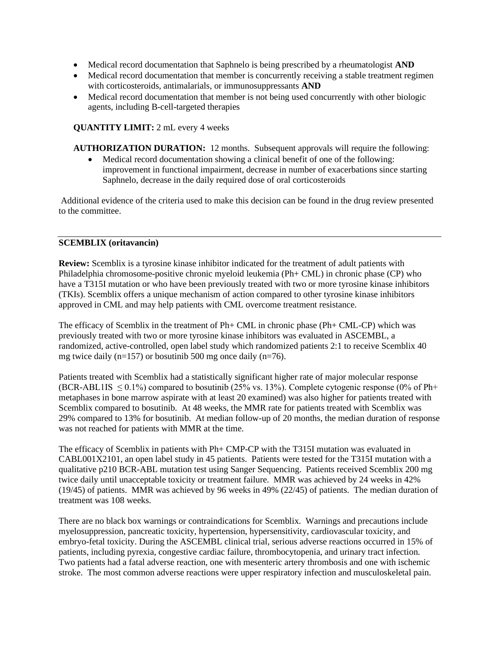- Medical record documentation that Saphnelo is being prescribed by a rheumatologist **AND**
- Medical record documentation that member is concurrently receiving a stable treatment regimen with corticosteroids, antimalarials, or immunosuppressants **AND**
- Medical record documentation that member is not being used concurrently with other biologic agents, including B-cell-targeted therapies

### **QUANTITY LIMIT:** 2 mL every 4 weeks

**AUTHORIZATION DURATION:** 12 months. Subsequent approvals will require the following:

• Medical record documentation showing a clinical benefit of one of the following: improvement in functional impairment, decrease in number of exacerbations since starting Saphnelo, decrease in the daily required dose of oral corticosteroids

Additional evidence of the criteria used to make this decision can be found in the drug review presented to the committee.

#### **SCEMBLIX (oritavancin)**

**Review:** Scemblix is a tyrosine kinase inhibitor indicated for the treatment of adult patients with Philadelphia chromosome-positive chronic myeloid leukemia (Ph+ CML) in chronic phase (CP) who have a T315I mutation or who have been previously treated with two or more tyrosine kinase inhibitors (TKIs). Scemblix offers a unique mechanism of action compared to other tyrosine kinase inhibitors approved in CML and may help patients with CML overcome treatment resistance.

The efficacy of Scemblix in the treatment of Ph+ CML in chronic phase (Ph+ CML-CP) which was previously treated with two or more tyrosine kinase inhibitors was evaluated in ASCEMBL, a randomized, active-controlled, open label study which randomized patients 2:1 to receive Scemblix 40 mg twice daily (n=157) or bosutinib 500 mg once daily (n=76).

Patients treated with Scemblix had a statistically significant higher rate of major molecular response (BCR-ABL1IS  $\leq$  0.1%) compared to bosutinib (25% vs. 13%). Complete cytogenic response (0% of Ph+ metaphases in bone marrow aspirate with at least 20 examined) was also higher for patients treated with Scemblix compared to bosutinib. At 48 weeks, the MMR rate for patients treated with Scemblix was 29% compared to 13% for bosutinib. At median follow-up of 20 months, the median duration of response was not reached for patients with MMR at the time.

The efficacy of Scemblix in patients with Ph+ CMP-CP with the T315I mutation was evaluated in CABL001X2101, an open label study in 45 patients. Patients were tested for the T315I mutation with a qualitative p210 BCR-ABL mutation test using Sanger Sequencing. Patients received Scemblix 200 mg twice daily until unacceptable toxicity or treatment failure. MMR was achieved by 24 weeks in 42% (19/45) of patients. MMR was achieved by 96 weeks in 49% (22/45) of patients. The median duration of treatment was 108 weeks.

There are no black box warnings or contraindications for Scemblix. Warnings and precautions include myelosuppression, pancreatic toxicity, hypertension, hypersensitivity, cardiovascular toxicity, and embryo-fetal toxicity. During the ASCEMBL clinical trial, serious adverse reactions occurred in 15% of patients, including pyrexia, congestive cardiac failure, thrombocytopenia, and urinary tract infection. Two patients had a fatal adverse reaction, one with mesenteric artery thrombosis and one with ischemic stroke. The most common adverse reactions were upper respiratory infection and musculoskeletal pain.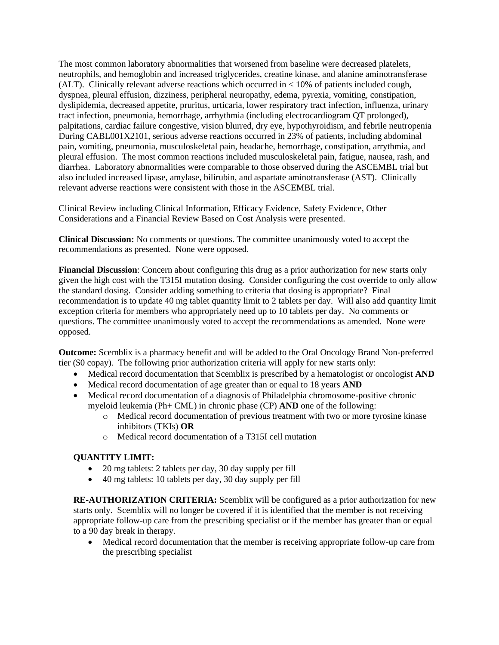The most common laboratory abnormalities that worsened from baseline were decreased platelets, neutrophils, and hemoglobin and increased triglycerides, creatine kinase, and alanine aminotransferase (ALT). Clinically relevant adverse reactions which occurred in < 10% of patients included cough, dyspnea, pleural effusion, dizziness, peripheral neuropathy, edema, pyrexia, vomiting, constipation, dyslipidemia, decreased appetite, pruritus, urticaria, lower respiratory tract infection, influenza, urinary tract infection, pneumonia, hemorrhage, arrhythmia (including electrocardiogram QT prolonged), palpitations, cardiac failure congestive, vision blurred, dry eye, hypothyroidism, and febrile neutropenia During CABL001X2101, serious adverse reactions occurred in 23% of patients, including abdominal pain, vomiting, pneumonia, musculoskeletal pain, headache, hemorrhage, constipation, arrythmia, and pleural effusion. The most common reactions included musculoskeletal pain, fatigue, nausea, rash, and diarrhea. Laboratory abnormalities were comparable to those observed during the ASCEMBL trial but also included increased lipase, amylase, bilirubin, and aspartate aminotransferase (AST). Clinically relevant adverse reactions were consistent with those in the ASCEMBL trial.

Clinical Review including Clinical Information, Efficacy Evidence, Safety Evidence, Other Considerations and a Financial Review Based on Cost Analysis were presented.

**Clinical Discussion:** No comments or questions. The committee unanimously voted to accept the recommendations as presented. None were opposed.

**Financial Discussion**: Concern about configuring this drug as a prior authorization for new starts only given the high cost with the T315I mutation dosing. Consider configuring the cost override to only allow the standard dosing. Consider adding something to criteria that dosing is appropriate? Final recommendation is to update 40 mg tablet quantity limit to 2 tablets per day. Will also add quantity limit exception criteria for members who appropriately need up to 10 tablets per day. No comments or questions. The committee unanimously voted to accept the recommendations as amended. None were opposed.

**Outcome:** Scemblix is a pharmacy benefit and will be added to the Oral Oncology Brand Non-preferred tier (\$0 copay). The following prior authorization criteria will apply for new starts only:

- Medical record documentation that Scemblix is prescribed by a hematologist or oncologist **AND**
- Medical record documentation of age greater than or equal to 18 years **AND**
- Medical record documentation of a diagnosis of Philadelphia chromosome-positive chronic myeloid leukemia (Ph+ CML) in chronic phase (CP) **AND** one of the following:
	- o Medical record documentation of previous treatment with two or more tyrosine kinase inhibitors (TKIs) **OR**
	- o Medical record documentation of a T315I cell mutation

### **QUANTITY LIMIT:**

- 20 mg tablets: 2 tablets per day, 30 day supply per fill
- 40 mg tablets: 10 tablets per day, 30 day supply per fill

**RE-AUTHORIZATION CRITERIA:** Scemblix will be configured as a prior authorization for new starts only. Scemblix will no longer be covered if it is identified that the member is not receiving appropriate follow-up care from the prescribing specialist or if the member has greater than or equal to a 90 day break in therapy.

• Medical record documentation that the member is receiving appropriate follow-up care from the prescribing specialist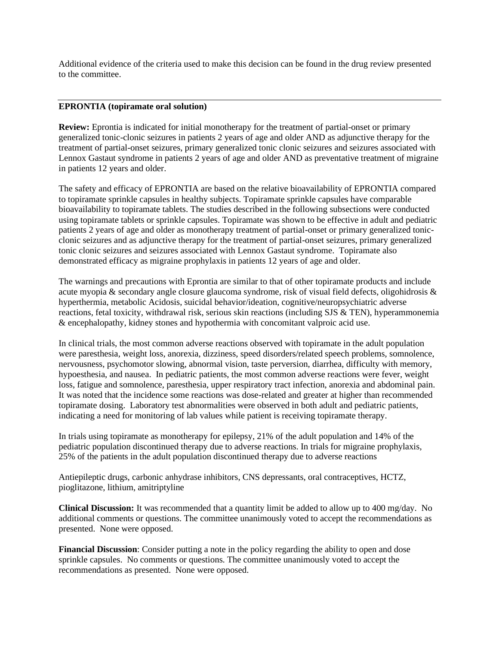Additional evidence of the criteria used to make this decision can be found in the drug review presented to the committee.

#### **EPRONTIA (topiramate oral solution)**

**Review:** Eprontia is indicated for initial monotherapy for the treatment of partial-onset or primary generalized tonic-clonic seizures in patients 2 years of age and older AND as adjunctive therapy for the treatment of partial-onset seizures, primary generalized tonic clonic seizures and seizures associated with Lennox Gastaut syndrome in patients 2 years of age and older AND as preventative treatment of migraine in patients 12 years and older.

The safety and efficacy of EPRONTIA are based on the relative bioavailability of EPRONTIA compared to topiramate sprinkle capsules in healthy subjects. Topiramate sprinkle capsules have comparable bioavailability to topiramate tablets. The studies described in the following subsections were conducted using topiramate tablets or sprinkle capsules. Topiramate was shown to be effective in adult and pediatric patients 2 years of age and older as monotherapy treatment of partial-onset or primary generalized tonicclonic seizures and as adjunctive therapy for the treatment of partial-onset seizures, primary generalized tonic clonic seizures and seizures associated with Lennox Gastaut syndrome. Topiramate also demonstrated efficacy as migraine prophylaxis in patients 12 years of age and older.

The warnings and precautions with Eprontia are similar to that of other topiramate products and include acute myopia & secondary angle closure glaucoma syndrome, risk of visual field defects, oligohidrosis & hyperthermia, metabolic Acidosis, suicidal behavior/ideation, cognitive/neuropsychiatric adverse reactions, fetal toxicity, withdrawal risk, serious skin reactions (including SJS & TEN), hyperammonemia & encephalopathy, kidney stones and hypothermia with concomitant valproic acid use.

In clinical trials, the most common adverse reactions observed with topiramate in the adult population were paresthesia, weight loss, anorexia, dizziness, speed disorders/related speech problems, somnolence, nervousness, psychomotor slowing, abnormal vision, taste perversion, diarrhea, difficulty with memory, hypoesthesia, and nausea. In pediatric patients, the most common adverse reactions were fever, weight loss, fatigue and somnolence, paresthesia, upper respiratory tract infection, anorexia and abdominal pain. It was noted that the incidence some reactions was dose-related and greater at higher than recommended topiramate dosing. Laboratory test abnormalities were observed in both adult and pediatric patients, indicating a need for monitoring of lab values while patient is receiving topiramate therapy.

In trials using topiramate as monotherapy for epilepsy, 21% of the adult population and 14% of the pediatric population discontinued therapy due to adverse reactions. In trials for migraine prophylaxis, 25% of the patients in the adult population discontinued therapy due to adverse reactions

Antiepileptic drugs, carbonic anhydrase inhibitors, CNS depressants, oral contraceptives, HCTZ, pioglitazone, lithium, amitriptyline

**Clinical Discussion:** It was recommended that a quantity limit be added to allow up to 400 mg/day. No additional comments or questions. The committee unanimously voted to accept the recommendations as presented. None were opposed.

**Financial Discussion**: Consider putting a note in the policy regarding the ability to open and dose sprinkle capsules. No comments or questions. The committee unanimously voted to accept the recommendations as presented. None were opposed.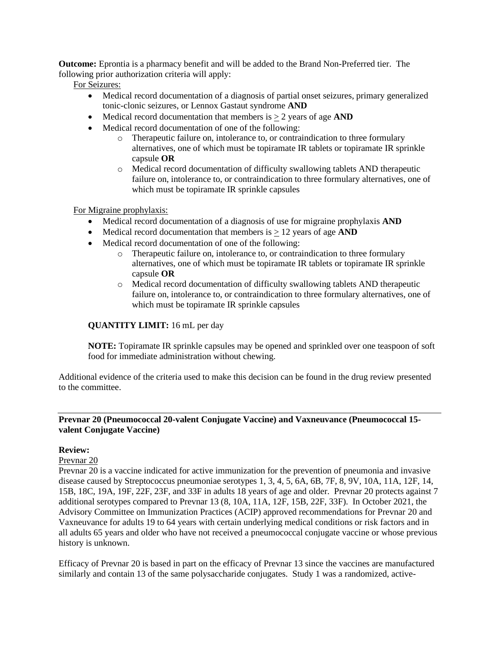**Outcome:** Eprontia is a pharmacy benefit and will be added to the Brand Non-Preferred tier. The following prior authorization criteria will apply:

For Seizures:

- Medical record documentation of a diagnosis of partial onset seizures, primary generalized tonic-clonic seizures, or Lennox Gastaut syndrome **AND**
- Medical record documentation that members is  $\geq 2$  years of age **AND**
- Medical record documentation of one of the following:
	- o Therapeutic failure on, intolerance to, or contraindication to three formulary alternatives, one of which must be topiramate IR tablets or topiramate IR sprinkle capsule **OR**
	- o Medical record documentation of difficulty swallowing tablets AND therapeutic failure on, intolerance to, or contraindication to three formulary alternatives, one of which must be topiramate IR sprinkle capsules

For Migraine prophylaxis:

- Medical record documentation of a diagnosis of use for migraine prophylaxis **AND**
- Medical record documentation that members is  $\geq 12$  years of age **AND**
- Medical record documentation of one of the following:
	- o Therapeutic failure on, intolerance to, or contraindication to three formulary alternatives, one of which must be topiramate IR tablets or topiramate IR sprinkle capsule **OR**
	- o Medical record documentation of difficulty swallowing tablets AND therapeutic failure on, intolerance to, or contraindication to three formulary alternatives, one of which must be topiramate IR sprinkle capsules

### **QUANTITY LIMIT:** 16 mL per day

**NOTE:** Topiramate IR sprinkle capsules may be opened and sprinkled over one teaspoon of soft food for immediate administration without chewing.

Additional evidence of the criteria used to make this decision can be found in the drug review presented to the committee.

### **Prevnar 20 (Pneumococcal 20-valent Conjugate Vaccine) and Vaxneuvance (Pneumococcal 15 valent Conjugate Vaccine)**

### **Review:**

### Prevnar 20

Prevnar 20 is a vaccine indicated for active immunization for the prevention of pneumonia and invasive disease caused by Streptococcus pneumoniae serotypes 1, 3, 4, 5, 6A, 6B, 7F, 8, 9V, 10A, 11A, 12F, 14, 15B, 18C, 19A, 19F, 22F, 23F, and 33F in adults 18 years of age and older. Prevnar 20 protects against 7 additional serotypes compared to Prevnar 13 (8, 10A, 11A, 12F, 15B, 22F, 33F). In October 2021, the Advisory Committee on Immunization Practices (ACIP) approved recommendations for Prevnar 20 and Vaxneuvance for adults 19 to 64 years with certain underlying medical conditions or risk factors and in all adults 65 years and older who have not received a pneumococcal conjugate vaccine or whose previous history is unknown.

Efficacy of Prevnar 20 is based in part on the efficacy of Prevnar 13 since the vaccines are manufactured similarly and contain 13 of the same polysaccharide conjugates. Study 1 was a randomized, active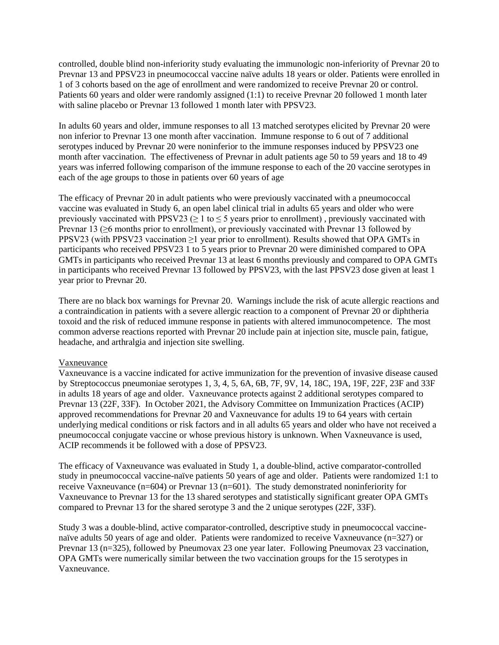controlled, double blind non-inferiority study evaluating the immunologic non-inferiority of Prevnar 20 to Prevnar 13 and PPSV23 in pneumococcal vaccine naïve adults 18 years or older. Patients were enrolled in 1 of 3 cohorts based on the age of enrollment and were randomized to receive Prevnar 20 or control. Patients 60 years and older were randomly assigned (1:1) to receive Prevnar 20 followed 1 month later with saline placebo or Prevnar 13 followed 1 month later with PPSV23.

In adults 60 years and older, immune responses to all 13 matched serotypes elicited by Prevnar 20 were non inferior to Prevnar 13 one month after vaccination. Immune response to 6 out of 7 additional serotypes induced by Prevnar 20 were noninferior to the immune responses induced by PPSV23 one month after vaccination. The effectiveness of Prevnar in adult patients age 50 to 59 years and 18 to 49 years was inferred following comparison of the immune response to each of the 20 vaccine serotypes in each of the age groups to those in patients over 60 years of age

The efficacy of Prevnar 20 in adult patients who were previously vaccinated with a pneumococcal vaccine was evaluated in Study 6, an open label clinical trial in adults 65 years and older who were previously vaccinated with PPSV23 ( $\geq$  1 to  $\leq$  5 years prior to enrollment), previously vaccinated with Prevnar 13 (≥6 months prior to enrollment), or previously vaccinated with Prevnar 13 followed by PPSV23 (with PPSV23 vaccination ≥1 year prior to enrollment). Results showed that OPA GMTs in participants who received PPSV23 1 to 5 years prior to Prevnar 20 were diminished compared to OPA GMTs in participants who received Prevnar 13 at least 6 months previously and compared to OPA GMTs in participants who received Prevnar 13 followed by PPSV23, with the last PPSV23 dose given at least 1 year prior to Prevnar 20.

There are no black box warnings for Prevnar 20. Warnings include the risk of acute allergic reactions and a contraindication in patients with a severe allergic reaction to a component of Prevnar 20 or diphtheria toxoid and the risk of reduced immune response in patients with altered immunocompetence. The most common adverse reactions reported with Prevnar 20 include pain at injection site, muscle pain, fatigue, headache, and arthralgia and injection site swelling.

### Vaxneuvance

Vaxneuvance is a vaccine indicated for active immunization for the prevention of invasive disease caused by Streptococcus pneumoniae serotypes 1, 3, 4, 5, 6A, 6B, 7F, 9V, 14, 18C, 19A, 19F, 22F, 23F and 33F in adults 18 years of age and older. Vaxneuvance protects against 2 additional serotypes compared to Prevnar 13 (22F, 33F). In October 2021, the Advisory Committee on Immunization Practices (ACIP) approved recommendations for Prevnar 20 and Vaxneuvance for adults 19 to 64 years with certain underlying medical conditions or risk factors and in all adults 65 years and older who have not received a pneumococcal conjugate vaccine or whose previous history is unknown. When Vaxneuvance is used, ACIP recommends it be followed with a dose of PPSV23.

The efficacy of Vaxneuvance was evaluated in Study 1, a double-blind, active comparator-controlled study in pneumococcal vaccine-naïve patients 50 years of age and older. Patients were randomized 1:1 to receive Vaxneuvance (n=604) or Prevnar 13 (n=601). The study demonstrated noninferiority for Vaxneuvance to Prevnar 13 for the 13 shared serotypes and statistically significant greater OPA GMTs compared to Prevnar 13 for the shared serotype 3 and the 2 unique serotypes (22F, 33F).

Study 3 was a double-blind, active comparator-controlled, descriptive study in pneumococcal vaccinenaïve adults 50 years of age and older. Patients were randomized to receive Vaxneuvance (n=327) or Prevnar 13 (n=325), followed by Pneumovax 23 one year later. Following Pneumovax 23 vaccination, OPA GMTs were numerically similar between the two vaccination groups for the 15 serotypes in Vaxneuvance.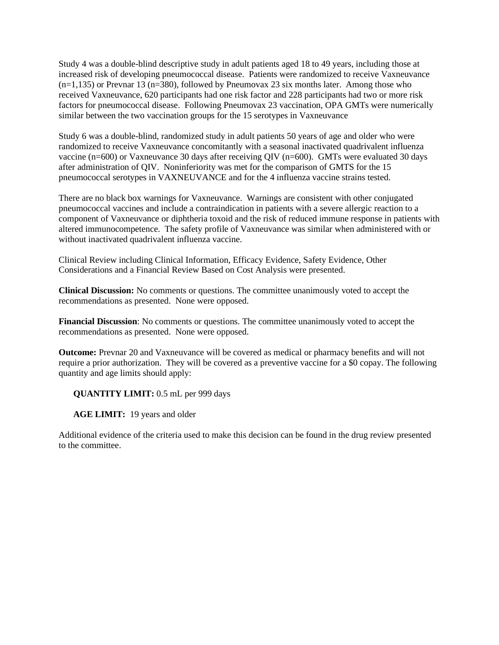Study 4 was a double-blind descriptive study in adult patients aged 18 to 49 years, including those at increased risk of developing pneumococcal disease. Patients were randomized to receive Vaxneuvance (n=1,135) or Prevnar 13 (n=380), followed by Pneumovax 23 six months later. Among those who received Vaxneuvance, 620 participants had one risk factor and 228 participants had two or more risk factors for pneumococcal disease. Following Pneumovax 23 vaccination, OPA GMTs were numerically similar between the two vaccination groups for the 15 serotypes in Vaxneuvance

Study 6 was a double-blind, randomized study in adult patients 50 years of age and older who were randomized to receive Vaxneuvance concomitantly with a seasonal inactivated quadrivalent influenza vaccine (n=600) or Vaxneuvance 30 days after receiving QIV (n=600). GMTs were evaluated 30 days after administration of QIV. Noninferiority was met for the comparison of GMTS for the 15 pneumococcal serotypes in VAXNEUVANCE and for the 4 influenza vaccine strains tested.

There are no black box warnings for Vaxneuvance. Warnings are consistent with other conjugated pneumococcal vaccines and include a contraindication in patients with a severe allergic reaction to a component of Vaxneuvance or diphtheria toxoid and the risk of reduced immune response in patients with altered immunocompetence. The safety profile of Vaxneuvance was similar when administered with or without inactivated quadrivalent influenza vaccine.

Clinical Review including Clinical Information, Efficacy Evidence, Safety Evidence, Other Considerations and a Financial Review Based on Cost Analysis were presented.

**Clinical Discussion:** No comments or questions. The committee unanimously voted to accept the recommendations as presented. None were opposed.

**Financial Discussion**: No comments or questions. The committee unanimously voted to accept the recommendations as presented. None were opposed.

**Outcome:** Prevnar 20 and Vaxneuvance will be covered as medical or pharmacy benefits and will not require a prior authorization. They will be covered as a preventive vaccine for a \$0 copay. The following quantity and age limits should apply:

**QUANTITY LIMIT:** 0.5 mL per 999 days

**AGE LIMIT:** 19 years and older

Additional evidence of the criteria used to make this decision can be found in the drug review presented to the committee.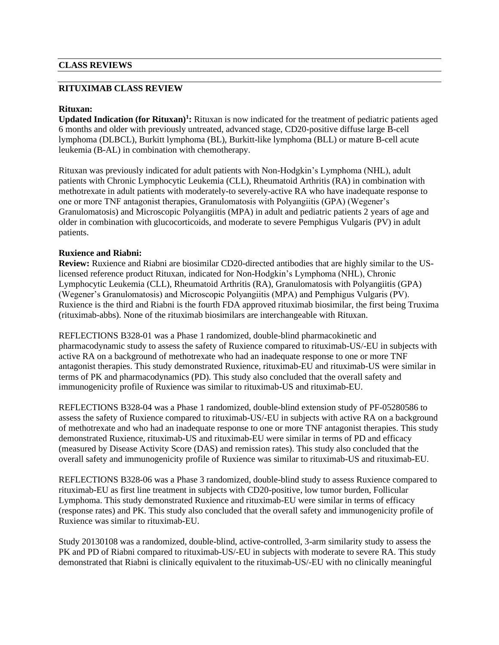### **CLASS REVIEWS**

### **RITUXIMAB CLASS REVIEW**

#### **Rituxan:**

**Updated Indication (for Rituxan)<sup>1</sup> :** Rituxan is now indicated for the treatment of pediatric patients aged 6 months and older with previously untreated, advanced stage, CD20-positive diffuse large B-cell lymphoma (DLBCL), Burkitt lymphoma (BL), Burkitt-like lymphoma (BLL) or mature B-cell acute leukemia (B-AL) in combination with chemotherapy.

Rituxan was previously indicated for adult patients with Non-Hodgkin's Lymphoma (NHL), adult patients with Chronic Lymphocytic Leukemia (CLL), Rheumatoid Arthritis (RA) in combination with methotrexate in adult patients with moderately-to severely-active RA who have inadequate response to one or more TNF antagonist therapies, Granulomatosis with Polyangiitis (GPA) (Wegener's Granulomatosis) and Microscopic Polyangiitis (MPA) in adult and pediatric patients 2 years of age and older in combination with glucocorticoids, and moderate to severe Pemphigus Vulgaris (PV) in adult patients.

#### **Ruxience and Riabni:**

**Review:** Ruxience and Riabni are biosimilar CD20-directed antibodies that are highly similar to the USlicensed reference product Rituxan, indicated for Non-Hodgkin's Lymphoma (NHL), Chronic Lymphocytic Leukemia (CLL), Rheumatoid Arthritis (RA), Granulomatosis with Polyangiitis (GPA) (Wegener's Granulomatosis) and Microscopic Polyangiitis (MPA) and Pemphigus Vulgaris (PV). Ruxience is the third and Riabni is the fourth FDA approved rituximab biosimilar, the first being Truxima (rituximab-abbs). None of the rituximab biosimilars are interchangeable with Rituxan.

REFLECTIONS B328-01 was a Phase 1 randomized, double-blind pharmacokinetic and pharmacodynamic study to assess the safety of Ruxience compared to rituximab-US/-EU in subjects with active RA on a background of methotrexate who had an inadequate response to one or more TNF antagonist therapies. This study demonstrated Ruxience, rituximab-EU and rituximab-US were similar in terms of PK and pharmacodynamics (PD). This study also concluded that the overall safety and immunogenicity profile of Ruxience was similar to rituximab-US and rituximab-EU.

REFLECTIONS B328-04 was a Phase 1 randomized, double-blind extension study of PF-05280586 to assess the safety of Ruxience compared to rituximab-US/-EU in subjects with active RA on a background of methotrexate and who had an inadequate response to one or more TNF antagonist therapies. This study demonstrated Ruxience, rituximab-US and rituximab-EU were similar in terms of PD and efficacy (measured by Disease Activity Score (DAS) and remission rates). This study also concluded that the overall safety and immunogenicity profile of Ruxience was similar to rituximab-US and rituximab-EU.

REFLECTIONS B328-06 was a Phase 3 randomized, double-blind study to assess Ruxience compared to rituximab-EU as first line treatment in subjects with CD20-positive, low tumor burden, Follicular Lymphoma. This study demonstrated Ruxience and rituximab-EU were similar in terms of efficacy (response rates) and PK. This study also concluded that the overall safety and immunogenicity profile of Ruxience was similar to rituximab-EU.

Study 20130108 was a randomized, double-blind, active-controlled, 3-arm similarity study to assess the PK and PD of Riabni compared to rituximab-US/-EU in subjects with moderate to severe RA. This study demonstrated that Riabni is clinically equivalent to the rituximab-US/-EU with no clinically meaningful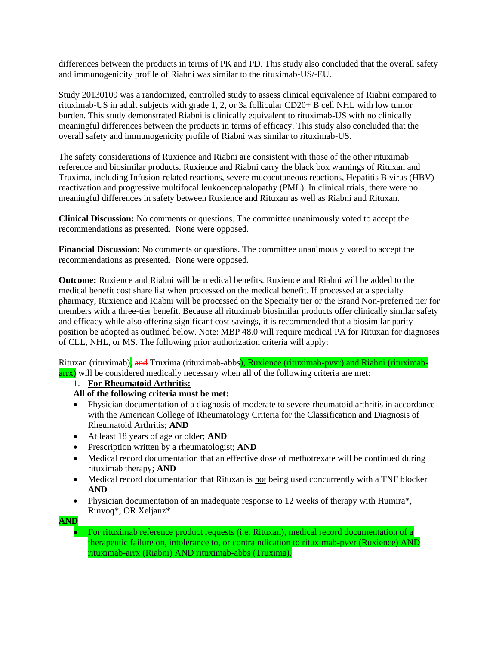differences between the products in terms of PK and PD. This study also concluded that the overall safety and immunogenicity profile of Riabni was similar to the rituximab-US/-EU.

Study 20130109 was a randomized, controlled study to assess clinical equivalence of Riabni compared to rituximab-US in adult subjects with grade 1, 2, or 3a follicular CD20+ B cell NHL with low tumor burden. This study demonstrated Riabni is clinically equivalent to rituximab-US with no clinically meaningful differences between the products in terms of efficacy. This study also concluded that the overall safety and immunogenicity profile of Riabni was similar to rituximab-US.

The safety considerations of Ruxience and Riabni are consistent with those of the other rituximab reference and biosimilar products. Ruxience and Riabni carry the black box warnings of Rituxan and Truxima, including Infusion-related reactions, severe mucocutaneous reactions, Hepatitis B virus (HBV) reactivation and progressive multifocal leukoencephalopathy (PML). In clinical trials, there were no meaningful differences in safety between Ruxience and Rituxan as well as Riabni and Rituxan.

**Clinical Discussion:** No comments or questions. The committee unanimously voted to accept the recommendations as presented. None were opposed.

**Financial Discussion**: No comments or questions. The committee unanimously voted to accept the recommendations as presented. None were opposed.

**Outcome:** Ruxience and Riabni will be medical benefits. Ruxience and Riabni will be added to the medical benefit cost share list when processed on the medical benefit. If processed at a specialty pharmacy, Ruxience and Riabni will be processed on the Specialty tier or the Brand Non-preferred tier for members with a three-tier benefit. Because all rituximab biosimilar products offer clinically similar safety and efficacy while also offering significant cost savings, it is recommended that a biosimilar parity position be adopted as outlined below. Note: MBP 48.0 will require medical PA for Rituxan for diagnoses of CLL, NHL, or MS. The following prior authorization criteria will apply:

Rituxan (rituximab), and Truxima (rituximab-abbs), Ruxience (rituximab-pvvr) and Riabni (rituximabarrx) will be considered medically necessary when all of the following criteria are met:

### 1. **For Rheumatoid Arthritis:**

# **All of the following criteria must be met:**

- Physician documentation of a diagnosis of moderate to severe rheumatoid arthritis in accordance with the American College of Rheumatology Criteria for the Classification and Diagnosis of Rheumatoid Arthritis; **AND**
- At least 18 years of age or older; **AND**
- Prescription written by a rheumatologist; **AND**
- Medical record documentation that an effective dose of methotrexate will be continued during rituximab therapy; **AND**
- Medical record documentation that Rituxan is not being used concurrently with a TNF blocker **AND**
- Physician documentation of an inadequate response to 12 weeks of therapy with Humira\*, Rinvoq\*, OR Xeljanz\*
- **AND**

• For rituximab reference product requests (i.e. Rituxan), medical record documentation of a therapeutic failure on, intolerance to, or contraindication to rituximab-pvvr (Ruxience) AND rituximab-arrx (Riabni) AND rituximab-abbs (Truxima).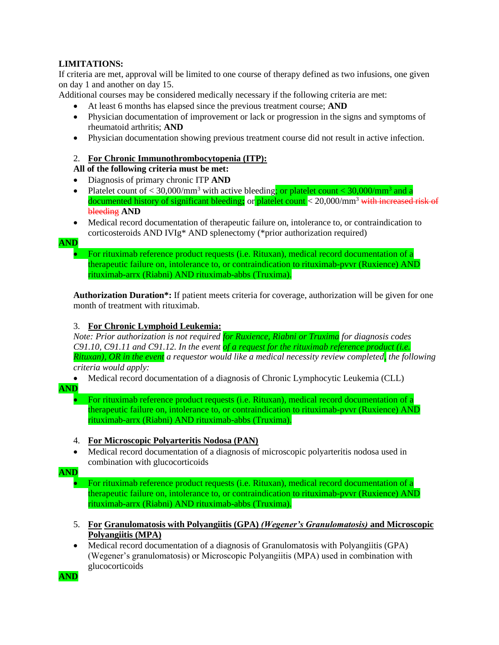# **LIMITATIONS:**

If criteria are met, approval will be limited to one course of therapy defined as two infusions, one given on day 1 and another on day 15.

Additional courses may be considered medically necessary if the following criteria are met:

- At least 6 months has elapsed since the previous treatment course; **AND**
- Physician documentation of improvement or lack or progression in the signs and symptoms of rheumatoid arthritis; **AND**
- Physician documentation showing previous treatment course did not result in active infection.

### 2. **For Chronic Immunothrombocytopenia (ITP):**

# **All of the following criteria must be met:**

- Diagnosis of primary chronic ITP **AND**
- Platelet count of  $\langle 30,000 \rangle$ mm<sup>3</sup> with active bleeding<mark>; or platelet count  $\langle 30,000 \rangle$ mm<sup>3</sup> and a</mark> documented history of significant bleeding**;** or platelet count < 20,000/mm<sup>3</sup> with increased risk of bleeding **AND**
- Medical record documentation of therapeutic failure on, intolerance to, or contraindication to corticosteroids AND IVIg\* AND splenectomy (\*prior authorization required)

#### **AND**

• For rituximab reference product requests (i.e. Rituxan), medical record documentation of a therapeutic failure on, intolerance to, or contraindication to rituximab-pvvr (Ruxience) AND rituximab-arrx (Riabni) AND rituximab-abbs (Truxima).

**Authorization Duration\*:** If patient meets criteria for coverage, authorization will be given for one month of treatment with rituximab.

### 3. **For Chronic Lymphoid Leukemia:**

*Note: Prior authorization is not required for Ruxience, Riabni or Truxima for diagnosis codes C91.10, C91.11 and C91.12. In the event of a request for the rituximab reference product (i.e. Rituxan), OR in the event a requestor would like a medical necessity review completed, the following* 

*criteria would apply:*

• Medical record documentation of a diagnosis of Chronic Lymphocytic Leukemia (CLL)

# **AND**

• For rituximab reference product requests (i.e. Rituxan), medical record documentation of a therapeutic failure on, intolerance to, or contraindication to rituximab-pvvr (Ruxience) AND rituximab-arrx (Riabni) AND rituximab-abbs (Truxima).

### 4. **For Microscopic Polyarteritis Nodosa (PAN)**

• Medical record documentation of a diagnosis of microscopic polyarteritis nodosa used in combination with glucocorticoids

# **AND**

• For rituximab reference product requests (i.e. Rituxan), medical record documentation of a therapeutic failure on, intolerance to, or contraindication to rituximab-pvvr (Ruxience) AND rituximab-arrx (Riabni) AND rituximab-abbs (Truxima).

- 5. **For Granulomatosis with Polyangiitis (GPA)** *(Wegener's Granulomatosis)* **and Microscopic Polyangiitis (MPA)**
- Medical record documentation of a diagnosis of Granulomatosis with Polyangiitis (GPA) (Wegener's granulomatosis) or Microscopic Polyangiitis (MPA) used in combination with glucocorticoids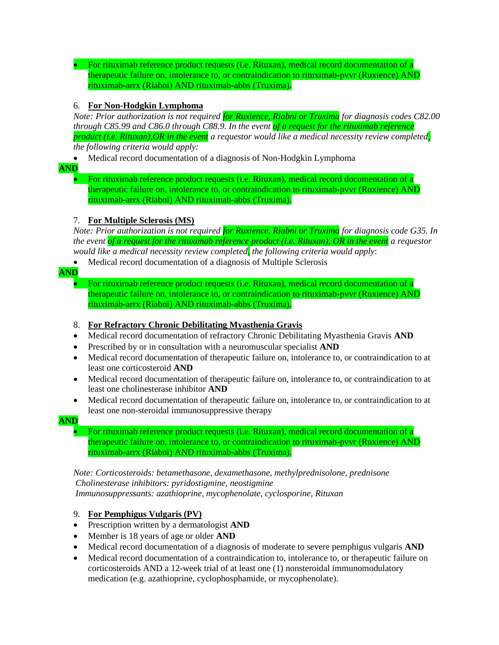• For rituximab reference product requests (i.e. Rituxan), medical record documentation of a therapeutic failure on, intolerance to, or contraindication to rituximab-pvvr (Ruxience) AND rituximab-arrx (Riabni) AND rituximab-abbs (Truxima).

### 6. **For Non-Hodgkin Lymphoma**

*Note: Prior authorization is not required for Ruxience, Riabni or Truxima for diagnosis codes C82.00 through C85.99 and C86.0 through C88.9. In the event of a request for the rituximab reference product (i.e. Rituxan),OR in the event a requestor would like a medical necessity review completed, the following criteria would apply:*

• Medical record documentation of a diagnosis of Non-Hodgkin Lymphoma

**AND**

• For rituximab reference product requests (i.e. Rituxan), medical record documentation of a therapeutic failure on, intolerance to, or contraindication to rituximab-pvvr (Ruxience) AND rituximab-arrx (Riabni) AND rituximab-abbs (Truxima).

### 7. **For Multiple Sclerosis (MS)**

*Note: Prior authorization is not required for Ruxience, Riabni or Truxima for diagnosis code G35. In the event of a request for the rituximab reference product (i.e. Rituxan), OR in the event a requestor would like a medical necessity review completed, the following criteria would apply*:

• Medical record documentation of a diagnosis of Multiple Sclerosis

**AND**

• For rituximab reference product requests (i.e. Rituxan), medical record documentation of a therapeutic failure on, intolerance to, or contraindication to rituximab-pvvr (Ruxience) AND rituximab-arrx (Riabni) AND rituximab-abbs (Truxima).

# 8. **For Refractory Chronic Debilitating Myasthenia Gravis**

- Medical record documentation of refractory Chronic Debilitating Myasthenia Gravis **AND**
- Prescribed by or in consultation with a neuromuscular specialist **AND**
- Medical record documentation of therapeutic failure on, intolerance to, or contraindication to at least one corticosteroid **AND**
- Medical record documentation of therapeutic failure on, intolerance to, or contraindication to at least one cholinesterase inhibitor **AND**
- Medical record documentation of therapeutic failure on, intolerance to, or contraindication to at least one non-steroidal immunosuppressive therapy

**AND**

• For rituximab reference product requests (i.e. Rituxan), medical record documentation of a therapeutic failure on, intolerance to, or contraindication to rituximab-pvvr (Ruxience) AND rituximab-arrx (Riabni) AND rituximab-abbs (Truxima).

*Note: Corticosteroids: betamethasone, dexamethasone, methylprednisolone, prednisone Cholinesterase inhibitors: pyridostigmine, neostigmine Immunosuppressants: azathioprine, mycophenolate, cyclosporine, Rituxan*

# 9. **For Pemphigus Vulgaris (PV)**

- Prescription written by a dermatologist **AND**
- Member is 18 years of age or older **AND**
- Medical record documentation of a diagnosis of moderate to severe pemphigus vulgaris **AND**
- Medical record documentation of a contraindication to, intolerance to, or therapeutic failure on corticosteroids AND a 12-week trial of at least one (1) nonsteroidal immunomodulatory medication (e.g. azathioprine, cyclophosphamide, or mycophenolate).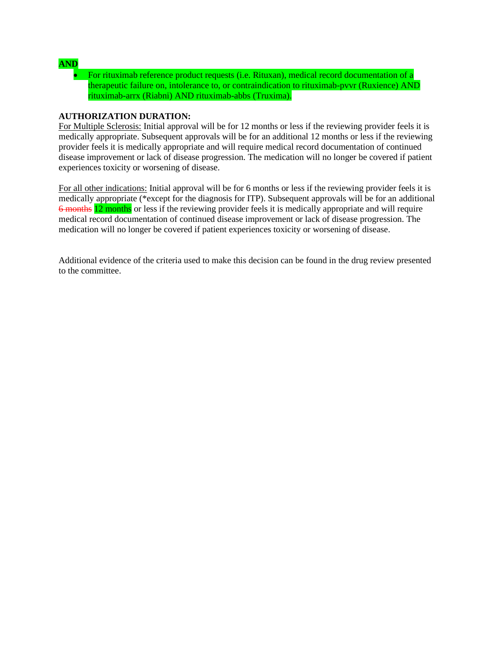# **AND**

• For rituximab reference product requests (i.e. Rituxan), medical record documentation of a therapeutic failure on, intolerance to, or contraindication to rituximab-pvvr (Ruxience) AND rituximab-arrx (Riabni) AND rituximab-abbs (Truxima).

### **AUTHORIZATION DURATION:**

For Multiple Sclerosis: Initial approval will be for 12 months or less if the reviewing provider feels it is medically appropriate. Subsequent approvals will be for an additional 12 months or less if the reviewing provider feels it is medically appropriate and will require medical record documentation of continued disease improvement or lack of disease progression. The medication will no longer be covered if patient experiences toxicity or worsening of disease.

For all other indications: Initial approval will be for 6 months or less if the reviewing provider feels it is medically appropriate (\*except for the diagnosis for ITP). Subsequent approvals will be for an additional 6 months 12 months or less if the reviewing provider feels it is medically appropriate and will require medical record documentation of continued disease improvement or lack of disease progression. The medication will no longer be covered if patient experiences toxicity or worsening of disease.

Additional evidence of the criteria used to make this decision can be found in the drug review presented to the committee.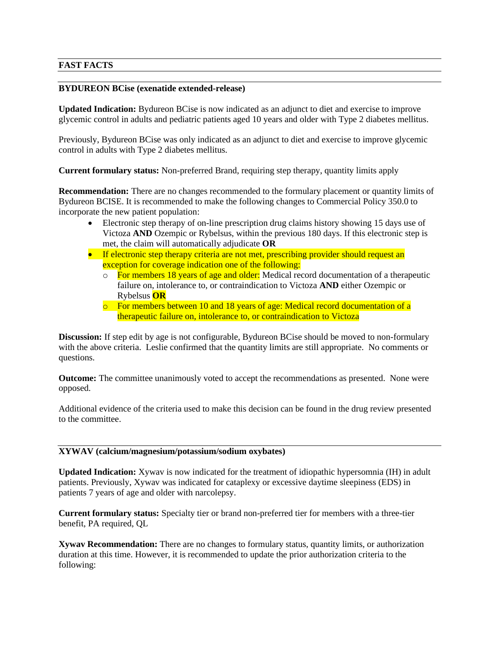### **FAST FACTS**

#### **BYDUREON BCise (exenatide extended-release)**

**Updated Indication:** Bydureon BCise is now indicated as an adjunct to diet and exercise to improve glycemic control in adults and pediatric patients aged 10 years and older with Type 2 diabetes mellitus.

Previously, Bydureon BCise was only indicated as an adjunct to diet and exercise to improve glycemic control in adults with Type 2 diabetes mellitus.

**Current formulary status:** Non-preferred Brand, requiring step therapy, quantity limits apply

**Recommendation:** There are no changes recommended to the formulary placement or quantity limits of Bydureon BCISE. It is recommended to make the following changes to Commercial Policy 350.0 to incorporate the new patient population:

- Electronic step therapy of on-line prescription drug claims history showing 15 days use of Victoza **AND** Ozempic or Rybelsus, within the previous 180 days. If this electronic step is met, the claim will automatically adjudicate **OR**
- If electronic step therapy criteria are not met, prescribing provider should request an exception for coverage indication one of the following:
	- $\overline{\circ}$  For members 18 years of age and older: Medical record documentation of a therapeutic failure on, intolerance to, or contraindication to Victoza **AND** either Ozempic or Rybelsus **OR**
	- $\circ$  For members between 10 and 18 years of age: Medical record documentation of a therapeutic failure on, intolerance to, or contraindication to Victoza

**Discussion:** If step edit by age is not configurable, Bydureon BCise should be moved to non-formulary with the above criteria. Leslie confirmed that the quantity limits are still appropriate. No comments or questions.

**Outcome:** The committee unanimously voted to accept the recommendations as presented. None were opposed.

Additional evidence of the criteria used to make this decision can be found in the drug review presented to the committee.

### **XYWAV (calcium/magnesium/potassium/sodium oxybates)**

**Updated Indication:** Xywav is now indicated for the treatment of idiopathic hypersomnia (IH) in adult patients. Previously, Xywav was indicated for cataplexy or excessive daytime sleepiness (EDS) in patients 7 years of age and older with narcolepsy.

**Current formulary status:** Specialty tier or brand non-preferred tier for members with a three-tier benefit, PA required, QL

**Xywav Recommendation:** There are no changes to formulary status, quantity limits, or authorization duration at this time. However, it is recommended to update the prior authorization criteria to the following: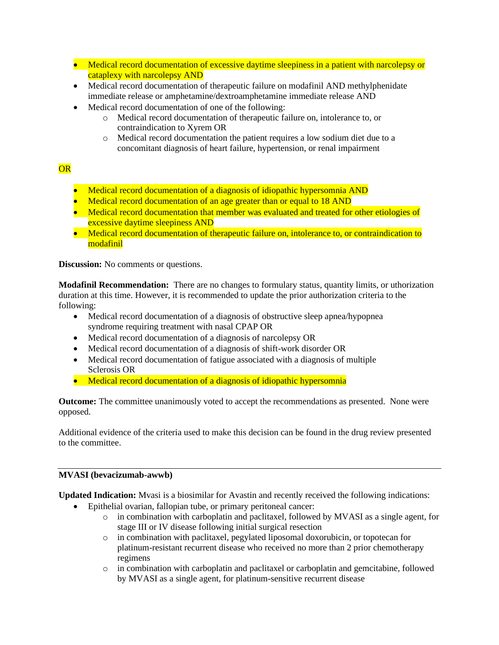- Medical record documentation of excessive daytime sleepiness in a patient with narcolepsy or cataplexy with narcolepsy AND
- Medical record documentation of therapeutic failure on modafinil AND methylphenidate immediate release or amphetamine/dextroamphetamine immediate release AND
- Medical record documentation of one of the following:
	- o Medical record documentation of therapeutic failure on, intolerance to, or contraindication to Xyrem OR
	- o Medical record documentation the patient requires a low sodium diet due to a concomitant diagnosis of heart failure, hypertension, or renal impairment

# OR

- Medical record documentation of a diagnosis of idiopathic hypersomnia AND
- Medical record documentation of an age greater than or equal to 18 AND
- Medical record documentation that member was evaluated and treated for other etiologies of excessive daytime sleepiness AND
- Medical record documentation of therapeutic failure on, intolerance to, or contraindication to modafinil

**Discussion:** No comments or questions.

**Modafinil Recommendation:** There are no changes to formulary status, quantity limits, or uthorization duration at this time. However, it is recommended to update the prior authorization criteria to the following:

- Medical record documentation of a diagnosis of obstructive sleep apnea/hypopnea syndrome requiring treatment with nasal CPAP OR
- Medical record documentation of a diagnosis of narcolepsy OR
- Medical record documentation of a diagnosis of shift-work disorder OR
- Medical record documentation of fatigue associated with a diagnosis of multiple Sclerosis OR
- Medical record documentation of a diagnosis of idiopathic hypersomnia

**Outcome:** The committee unanimously voted to accept the recommendations as presented. None were opposed.

Additional evidence of the criteria used to make this decision can be found in the drug review presented to the committee.

### **MVASI (bevacizumab-awwb)**

**Updated Indication:** Mvasi is a biosimilar for Avastin and recently received the following indications:

- Epithelial ovarian, fallopian tube, or primary peritoneal cancer:
	- o in combination with carboplatin and paclitaxel, followed by MVASI as a single agent, for stage III or IV disease following initial surgical resection
	- o in combination with paclitaxel, pegylated liposomal doxorubicin, or topotecan for platinum-resistant recurrent disease who received no more than 2 prior chemotherapy regimens
	- o in combination with carboplatin and paclitaxel or carboplatin and gemcitabine, followed by MVASI as a single agent, for platinum-sensitive recurrent disease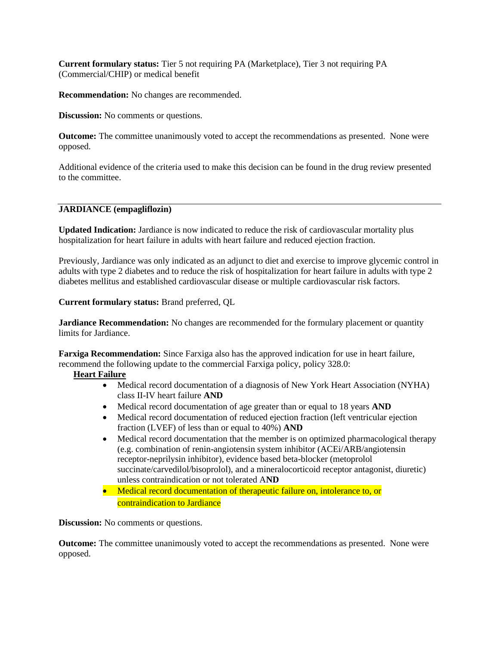**Current formulary status:** Tier 5 not requiring PA (Marketplace), Tier 3 not requiring PA (Commercial/CHIP) or medical benefit

**Recommendation:** No changes are recommended.

**Discussion:** No comments or questions.

**Outcome:** The committee unanimously voted to accept the recommendations as presented. None were opposed.

Additional evidence of the criteria used to make this decision can be found in the drug review presented to the committee.

### **JARDIANCE (empagliflozin)**

**Updated Indication:** Jardiance is now indicated to reduce the risk of cardiovascular mortality plus hospitalization for heart failure in adults with heart failure and reduced ejection fraction.

Previously, Jardiance was only indicated as an adjunct to diet and exercise to improve glycemic control in adults with type 2 diabetes and to reduce the risk of hospitalization for heart failure in adults with type 2 diabetes mellitus and established cardiovascular disease or multiple cardiovascular risk factors.

**Current formulary status:** Brand preferred, QL

**Jardiance Recommendation:** No changes are recommended for the formulary placement or quantity limits for Jardiance.

**Farxiga Recommendation:** Since Farxiga also has the approved indication for use in heart failure, recommend the following update to the commercial Farxiga policy, policy 328.0:

### **Heart Failure**

- Medical record documentation of a diagnosis of New York Heart Association (NYHA) class II-IV heart failure **AND**
- Medical record documentation of age greater than or equal to 18 years **AND**
- Medical record documentation of reduced ejection fraction (left ventricular ejection fraction (LVEF) of less than or equal to 40%) **AND**
- Medical record documentation that the member is on optimized pharmacological therapy (e.g. combination of renin-angiotensin system inhibitor (ACEi/ARB/angiotensin receptor-neprilysin inhibitor), evidence based beta-blocker (metoprolol succinate/carvedilol/bisoprolol), and a mineralocorticoid receptor antagonist, diuretic) unless contraindication or not tolerated A**ND**
- Medical record documentation of therapeutic failure on, intolerance to, or contraindication to Jardiance

**Discussion:** No comments or questions.

**Outcome:** The committee unanimously voted to accept the recommendations as presented. None were opposed.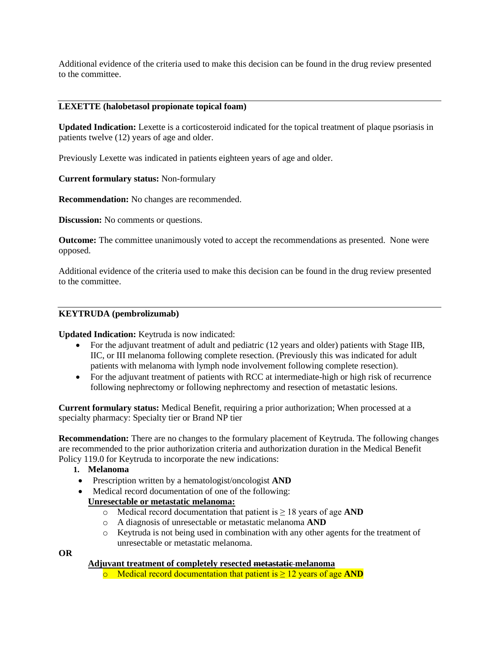Additional evidence of the criteria used to make this decision can be found in the drug review presented to the committee.

### **LEXETTE (halobetasol propionate topical foam)**

**Updated Indication:** Lexette is a corticosteroid indicated for the topical treatment of plaque psoriasis in patients twelve (12) years of age and older.

Previously Lexette was indicated in patients eighteen years of age and older.

### **Current formulary status:** Non-formulary

**Recommendation:** No changes are recommended.

**Discussion:** No comments or questions.

**Outcome:** The committee unanimously voted to accept the recommendations as presented. None were opposed.

Additional evidence of the criteria used to make this decision can be found in the drug review presented to the committee.

#### **KEYTRUDA (pembrolizumab)**

#### **Updated Indication:** Keytruda is now indicated:

- For the adjuvant treatment of adult and pediatric (12 years and older) patients with Stage IIB, IIC, or III melanoma following complete resection. (Previously this was indicated for adult patients with melanoma with lymph node involvement following complete resection).
- For the adjuvant treatment of patients with RCC at intermediate-high or high risk of recurrence following nephrectomy or following nephrectomy and resection of metastatic lesions.

**Current formulary status:** Medical Benefit, requiring a prior authorization; When processed at a specialty pharmacy: Specialty tier or Brand NP tier

**Recommendation:** There are no changes to the formulary placement of Keytruda. The following changes are recommended to the prior authorization criteria and authorization duration in the Medical Benefit Policy 119.0 for Keytruda to incorporate the new indications:

- **1. Melanoma**
- Prescription written by a hematologist/oncologist **AND**
- Medical record documentation of one of the following:

### **Unresectable or metastatic melanoma:**

- o Medical record documentation that patient is ≥ 18 years of age **AND**
- o A diagnosis of unresectable or metastatic melanoma **AND**
- o Keytruda is not being used in combination with any other agents for the treatment of unresectable or metastatic melanoma.

**OR**

#### **Adjuvant treatment of completely resected metastatic melanoma**

o Medical record documentation that patient is ≥ 12 years of age **AND**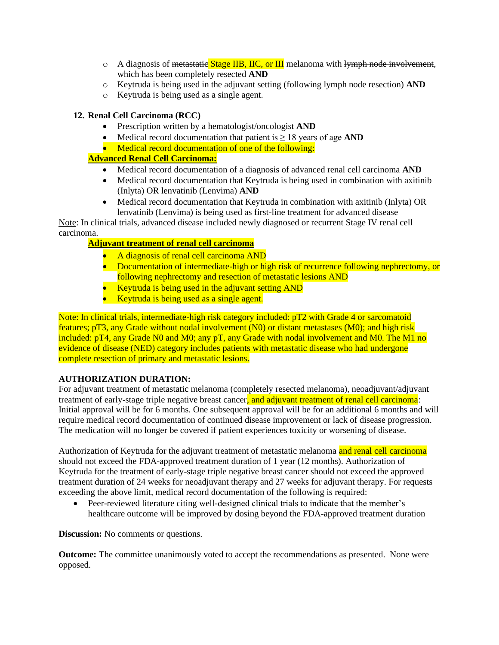- $\circ$  A diagnosis of metastatic Stage IIB, IIC, or III melanoma with lymph node involvement, which has been completely resected **AND**
- o Keytruda is being used in the adjuvant setting (following lymph node resection) **AND**
- o Keytruda is being used as a single agent.

# **12. Renal Cell Carcinoma (RCC)**

- Prescription written by a hematologist/oncologist **AND**
- Medical record documentation that patient is  $\geq 18$  years of age **AND**
- Medical record documentation of one of the following:

# **Advanced Renal Cell Carcinoma:**

- Medical record documentation of a diagnosis of advanced renal cell carcinoma **AND**
- Medical record documentation that Keytruda is being used in combination with axitinib (Inlyta) OR lenvatinib (Lenvima) **AND**
- Medical record documentation that Keytruda in combination with axitinib (Inlyta) OR lenvatinib (Lenvima) is being used as first-line treatment for advanced disease

Note: In clinical trials, advanced disease included newly diagnosed or recurrent Stage IV renal cell carcinoma.

# **Adjuvant treatment of renal cell carcinoma**

- A diagnosis of renal cell carcinoma AND
- Documentation of intermediate-high or high risk of recurrence following nephrectomy, or following nephrectomy and resection of metastatic lesions AND
- Keytruda is being used in the adjuvant setting AND
- Keytruda is being used as a single agent.

Note: In clinical trials, intermediate-high risk category included: pT2 with Grade 4 or sarcomatoid features; pT3, any Grade without nodal involvement (N0) or distant metastases (M0); and high risk included: pT4, any Grade N0 and M0; any pT, any Grade with nodal involvement and M0. The M1 no evidence of disease (NED) category includes patients with metastatic disease who had undergone complete resection of primary and metastatic lesions.

# **AUTHORIZATION DURATION:**

For adjuvant treatment of metastatic melanoma (completely resected melanoma), neoadjuvant/adjuvant treatment of early-stage triple negative breast cancer, and adjuvant treatment of renal cell carcinoma: Initial approval will be for 6 months. One subsequent approval will be for an additional 6 months and will require medical record documentation of continued disease improvement or lack of disease progression. The medication will no longer be covered if patient experiences toxicity or worsening of disease.

Authorization of Keytruda for the adjuvant treatment of metastatic melanoma and renal cell carcinoma should not exceed the FDA-approved treatment duration of 1 year (12 months). Authorization of Keytruda for the treatment of early-stage triple negative breast cancer should not exceed the approved treatment duration of 24 weeks for neoadjuvant therapy and 27 weeks for adjuvant therapy. For requests exceeding the above limit, medical record documentation of the following is required:

• Peer-reviewed literature citing well-designed clinical trials to indicate that the member's healthcare outcome will be improved by dosing beyond the FDA-approved treatment duration

**Discussion:** No comments or questions.

**Outcome:** The committee unanimously voted to accept the recommendations as presented. None were opposed.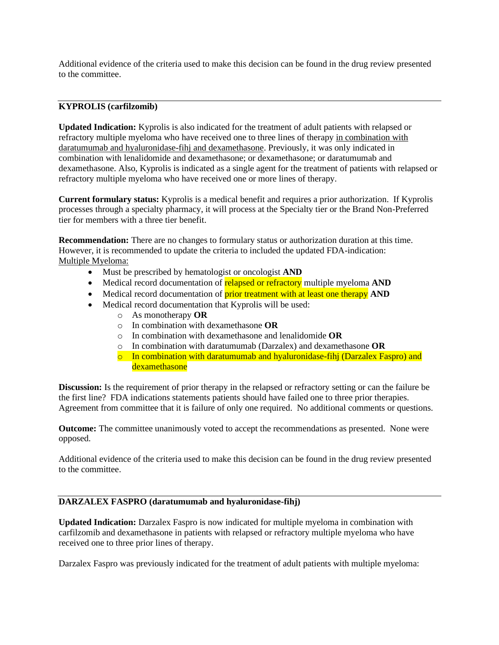Additional evidence of the criteria used to make this decision can be found in the drug review presented to the committee.

### **KYPROLIS (carfilzomib)**

**Updated Indication:** Kyprolis is also indicated for the treatment of adult patients with relapsed or refractory multiple myeloma who have received one to three lines of therapy in combination with daratumumab and hyaluronidase-fihj and dexamethasone. Previously, it was only indicated in combination with lenalidomide and dexamethasone; or dexamethasone; or daratumumab and dexamethasone. Also, Kyprolis is indicated as a single agent for the treatment of patients with relapsed or refractory multiple myeloma who have received one or more lines of therapy.

**Current formulary status:** Kyprolis is a medical benefit and requires a prior authorization. If Kyprolis processes through a specialty pharmacy, it will process at the Specialty tier or the Brand Non-Preferred tier for members with a three tier benefit.

**Recommendation:** There are no changes to formulary status or authorization duration at this time. However, it is recommended to update the criteria to included the updated FDA-indication: Multiple Myeloma:

- Must be prescribed by hematologist or oncologist **AND**
- Medical record documentation of relapsed or refractory multiple myeloma **AND**
- Medical record documentation of **prior treatment with at least one therapy AND**
- Medical record documentation that Kyprolis will be used:
	- o As monotherapy **OR**
	- o In combination with dexamethasone **OR**
	- o In combination with dexamethasone and lenalidomide **OR**
	- o In combination with daratumumab (Darzalex) and dexamethasone **OR**
	- o In combination with daratumumab and hyaluronidase-fihj (Darzalex Faspro) and dexamethasone

**Discussion:** Is the requirement of prior therapy in the relapsed or refractory setting or can the failure be the first line? FDA indications statements patients should have failed one to three prior therapies. Agreement from committee that it is failure of only one required. No additional comments or questions.

**Outcome:** The committee unanimously voted to accept the recommendations as presented. None were opposed.

Additional evidence of the criteria used to make this decision can be found in the drug review presented to the committee.

### **DARZALEX FASPRO (daratumumab and hyaluronidase-fihj)**

**Updated Indication:** Darzalex Faspro is now indicated for multiple myeloma in combination with carfilzomib and dexamethasone in patients with relapsed or refractory multiple myeloma who have received one to three prior lines of therapy.

Darzalex Faspro was previously indicated for the treatment of adult patients with multiple myeloma: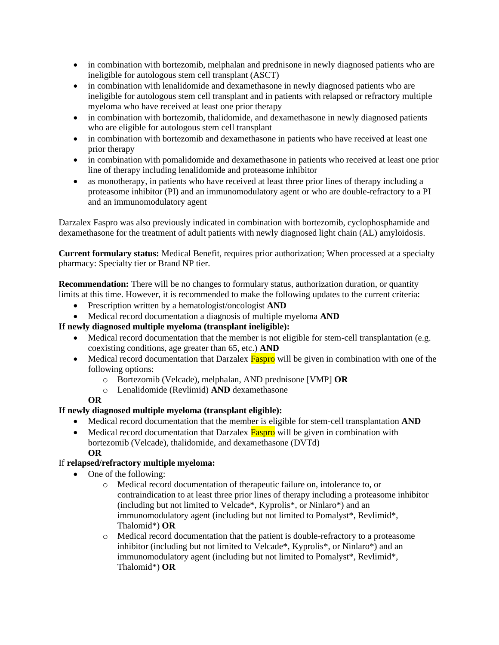- in combination with bortezomib, melphalan and prednisone in newly diagnosed patients who are ineligible for autologous stem cell transplant (ASCT)
- in combination with lenalidomide and dexamethasone in newly diagnosed patients who are ineligible for autologous stem cell transplant and in patients with relapsed or refractory multiple myeloma who have received at least one prior therapy
- in combination with bortezomib, thalidomide, and dexamethasone in newly diagnosed patients who are eligible for autologous stem cell transplant
- in combination with bortezomib and dexamethasone in patients who have received at least one prior therapy
- in combination with pomalidomide and dexamethasone in patients who received at least one prior line of therapy including lenalidomide and proteasome inhibitor
- as monotherapy, in patients who have received at least three prior lines of therapy including a proteasome inhibitor (PI) and an immunomodulatory agent or who are double-refractory to a PI and an immunomodulatory agent

Darzalex Faspro was also previously indicated in combination with bortezomib, cyclophosphamide and dexamethasone for the treatment of adult patients with newly diagnosed light chain (AL) amyloidosis.

**Current formulary status:** Medical Benefit, requires prior authorization; When processed at a specialty pharmacy: Specialty tier or Brand NP tier.

**Recommendation:** There will be no changes to formulary status, authorization duration, or quantity limits at this time. However, it is recommended to make the following updates to the current criteria:

- Prescription written by a hematologist/oncologist **AND**
- Medical record documentation a diagnosis of multiple myeloma **AND**

# **If newly diagnosed multiple myeloma (transplant ineligible):**

- Medical record documentation that the member is not eligible for stem-cell transplantation (e.g. coexisting conditions, age greater than 65, etc.) **AND**
- Medical record documentation that Darzalex Faspro will be given in combination with one of the following options:
	- o Bortezomib (Velcade), melphalan, AND prednisone [VMP] **OR**
	- o Lenalidomide (Revlimid) **AND** dexamethasone

# **OR**

# **If newly diagnosed multiple myeloma (transplant eligible):**

- Medical record documentation that the member is eligible for stem-cell transplantation **AND**
- Medical record documentation that Darzalex Faspro will be given in combination with bortezomib (Velcade), thalidomide, and dexamethasone (DVTd) **OR**

# If **relapsed/refractory multiple myeloma:**

- One of the following:
	- o Medical record documentation of therapeutic failure on, intolerance to, or contraindication to at least three prior lines of therapy including a proteasome inhibitor (including but not limited to Velcade\*, Kyprolis\*, or Ninlaro\*) and an immunomodulatory agent (including but not limited to Pomalyst\*, Revlimid\*, Thalomid\*) **OR**
	- o Medical record documentation that the patient is double-refractory to a proteasome inhibitor (including but not limited to Velcade\*, Kyprolis\*, or Ninlaro\*) and an immunomodulatory agent (including but not limited to Pomalyst\*, Revlimid\*, Thalomid\*) **OR**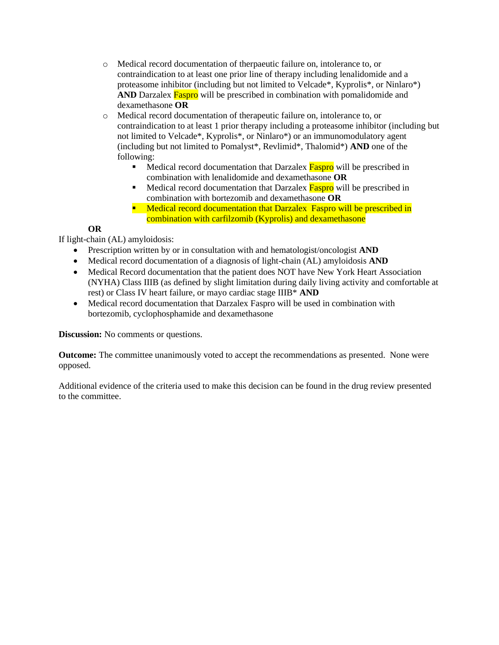- o Medical record documentation of therpaeutic failure on, intolerance to, or contraindication to at least one prior line of therapy including lenalidomide and a proteasome inhibitor (including but not limited to Velcade\*, Kyprolis\*, or Ninlaro\*) **AND** Darzalex **Faspro** will be prescribed in combination with pomalidomide and dexamethasone **OR**
- o Medical record documentation of therapeutic failure on, intolerance to, or contraindication to at least 1 prior therapy including a proteasome inhibitor (including but not limited to Velcade\*, Kyprolis\*, or Ninlaro\*) or an immunomodulatory agent (including but not limited to Pomalyst\*, Revlimid\*, Thalomid\*) **AND** one of the following:
	- Medical record documentation that Darzalex Faspro will be prescribed in combination with lenalidomide and dexamethasone **OR**
	- Medical record documentation that Darzalex **Faspro** will be prescribed in combination with bortezomib and dexamethasone **OR**
	- **E** Medical record documentation that Darzalex Faspro will be prescribed in combination with carfilzomib (Kyprolis) and dexamethasone

# **OR**

If light-chain (AL) amyloidosis:

- Prescription written by or in consultation with and hematologist/oncologist **AND**
- Medical record documentation of a diagnosis of light-chain (AL) amyloidosis **AND**
- Medical Record documentation that the patient does NOT have New York Heart Association (NYHA) Class IIIB (as defined by slight limitation during daily living activity and comfortable at rest) or Class IV heart failure, or mayo cardiac stage IIIB\* **AND**
- Medical record documentation that Darzalex Faspro will be used in combination with bortezomib, cyclophosphamide and dexamethasone

**Discussion:** No comments or questions.

**Outcome:** The committee unanimously voted to accept the recommendations as presented. None were opposed.

Additional evidence of the criteria used to make this decision can be found in the drug review presented to the committee.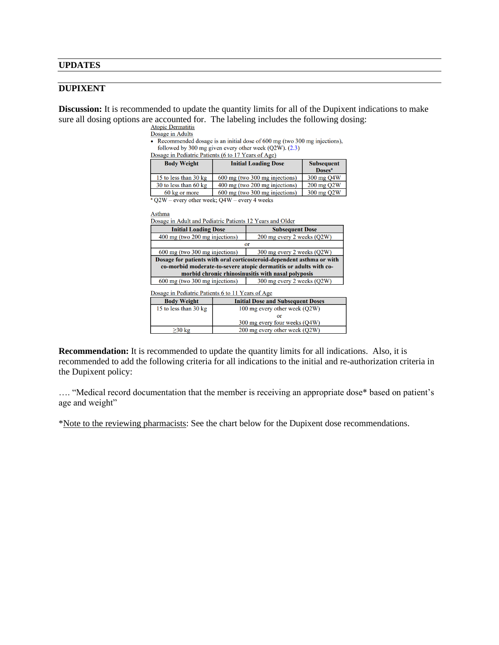#### **UPDATES**

### **DUPIXENT**

**Discussion:** It is recommended to update the quantity limits for all of the Dupixent indications to make sure all dosing options are accounted for. The labeling includes the following dosing:<br>
Atopic Dermatitis

Dosage in Adults

• Recommended dosage is an initial dose of 600 mg (two 300 mg injections), followed by 300 mg given every other week (Q2W). (2.3)

Dosage in Pediatric Patients (6 to 17 Years of Age)

| <b>Body Weight</b>              | <b>Initial Loading Dose</b>              | <b>Subsequent</b><br><b>Doses<sup>a</sup></b> |
|---------------------------------|------------------------------------------|-----------------------------------------------|
| 15 to less than 30 kg           | $600 \text{ mg}$ (two 300 mg injections) | 300 mg Q4W                                    |
| 30 to less than $60 \text{ kg}$ | 400 mg (two 200 mg injections)           | $200$ mg $Q2W$                                |
| 60 kg or more                   | $600 \text{ mg}$ (two 300 mg injections) | $300 \text{ mg } Q2W$                         |

 $\sqrt[3]{2W}$  – every other week; Q4W – every 4 weeks

Asthma

Dosage in Adult and Pediatric Patients 12 Years and Older

| <b>Initial Loading Dose</b>                                                                                                                | <b>Subsequent Dose</b>     |  |  |  |
|--------------------------------------------------------------------------------------------------------------------------------------------|----------------------------|--|--|--|
| 400 mg (two 200 mg injections)                                                                                                             | 200 mg every 2 weeks (Q2W) |  |  |  |
|                                                                                                                                            | or                         |  |  |  |
| 600 mg (two 300 mg injections)                                                                                                             | 300 mg every 2 weeks (Q2W) |  |  |  |
| Dosage for patients with oral corticosteroid-dependent asthma or with<br>co-morbid moderate-to-severe atopic dermatitis or adults with co- |                            |  |  |  |
| morbid chronic rhinosinusitis with nasal polyposis<br>600 mg (two 300 mg injections)<br>300 mg every 2 weeks (Q2W)                         |                            |  |  |  |
|                                                                                                                                            |                            |  |  |  |

Dosage in Pediatric Patients 6 to 11 Years of Age

| <b>Body Weight</b>                                     | <b>Initial Dose and Subsequent Doses</b> |  |
|--------------------------------------------------------|------------------------------------------|--|
| 15 to less than 30 kg<br>100 mg every other week (O2W) |                                          |  |
|                                                        |                                          |  |
|                                                        | 300 mg every four weeks (O4W)            |  |
| $>30$ kg                                               | 200 mg every other week (Q2W)            |  |

**Recommendation:** It is recommended to update the quantity limits for all indications. Also, it is recommended to add the following criteria for all indications to the initial and re-authorization criteria in the Dupixent policy:

…. "Medical record documentation that the member is receiving an appropriate dose\* based on patient's age and weight"

\*Note to the reviewing pharmacists: See the chart below for the Dupixent dose recommendations.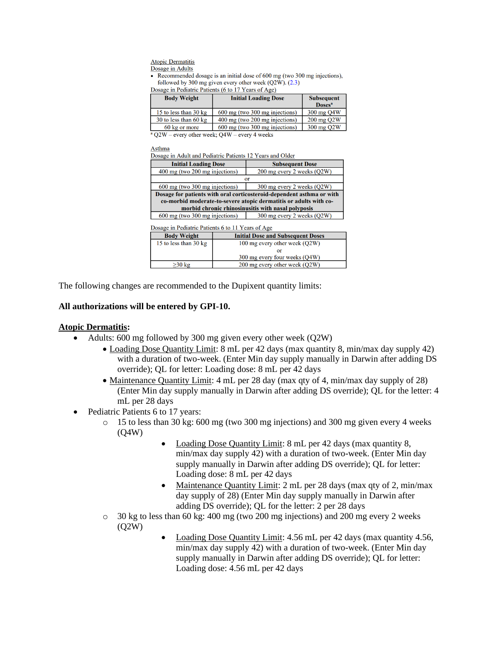**Atopic Dermatitis** Dosage in Adults

• Recommended dosage is an initial dose of 600 mg (two 300 mg injections), followed by 300 mg given every other week  $(Q2W)$ .  $(2.3)$ 

Dosage in Pediatric Patients (6 to 17 Years of Age)

| <b>Body Weight</b>                                 | <b>Initial Loading Dose</b>    | <b>Subsequent</b><br>Doses <sup>a</sup> |
|----------------------------------------------------|--------------------------------|-----------------------------------------|
| 15 to less than $30 \text{ kg}$                    | 600 mg (two 300 mg injections) | 300 mg Q4W                              |
| 30 to less than $60 \text{ kg}$                    | 400 mg (two 200 mg injections) | 200 mg Q2W                              |
| 60 kg or more                                      | 600 mg (two 300 mg injections) | 300 mg Q2W                              |
| $^{8}$ $O2W$ every other week: $O4W$ every A weeks |                                |                                         |

 $Q2W$  – every other week;  $Q4W$  – every 4 weeks

Asthma

Dosage in Adult and Pediatric Patients 12 Years and Older

| <b>Initial Loading Dose</b>                                           | <b>Subsequent Dose</b>     |  |  |  |
|-----------------------------------------------------------------------|----------------------------|--|--|--|
| 400 mg (two 200 mg injections)                                        | 200 mg every 2 weeks (Q2W) |  |  |  |
|                                                                       | or                         |  |  |  |
| 600 mg (two 300 mg injections)<br>300 mg every 2 weeks (Q2W)          |                            |  |  |  |
| Dosage for patients with oral corticosteroid-dependent asthma or with |                            |  |  |  |
| co-morbid moderate-to-severe atopic dermatitis or adults with co-     |                            |  |  |  |
| morbid chronic rhinosinusitis with nasal polyposis                    |                            |  |  |  |
| $600 \text{ mo}$ (two $300 \text{ mo}$ injections)                    | 300 mg every 2 weeks (O2W) |  |  |  |

|  |  |  | Dosage in Pediatric Patients 6 to 11 Years of Age |  |
|--|--|--|---------------------------------------------------|--|
|  |  |  |                                                   |  |

| <b>Initial Dose and Subsequent Doses</b> |  |  |
|------------------------------------------|--|--|
| 100 mg every other week (Q2W)            |  |  |
|                                          |  |  |
| 300 mg every four weeks (O4W)            |  |  |
| 200 mg every other week (Q2W)            |  |  |
|                                          |  |  |

The following changes are recommended to the Dupixent quantity limits:

### **All authorizations will be entered by GPI-10.**

### **Atopic Dermatitis:**

- Adults: 600 mg followed by 300 mg given every other week (Q2W)
	- Loading Dose Quantity Limit: 8 mL per 42 days (max quantity 8, min/max day supply 42) with a duration of two-week. (Enter Min day supply manually in Darwin after adding DS override); QL for letter: Loading dose: 8 mL per 42 days
	- Maintenance Quantity Limit: 4 mL per 28 day (max qty of 4, min/max day supply of 28) (Enter Min day supply manually in Darwin after adding DS override); QL for the letter: 4 mL per 28 days
- Pediatric Patients 6 to 17 years:
	- $\circ$  15 to less than 30 kg: 600 mg (two 300 mg injections) and 300 mg given every 4 weeks (Q4W)
		- Loading Dose Quantity Limit: 8 mL per 42 days (max quantity 8, min/max day supply 42) with a duration of two-week. (Enter Min day supply manually in Darwin after adding DS override); QL for letter: Loading dose: 8 mL per 42 days
		- Maintenance Quantity Limit: 2 mL per 28 days (max gty of 2, min/max day supply of 28) (Enter Min day supply manually in Darwin after adding DS override); QL for the letter: 2 per 28 days
	- $\circ$  30 kg to less than 60 kg: 400 mg (two 200 mg injections) and 200 mg every 2 weeks (Q2W)
		- Loading Dose Quantity Limit: 4.56 mL per 42 days (max quantity 4.56, min/max day supply 42) with a duration of two-week. (Enter Min day supply manually in Darwin after adding DS override); QL for letter: Loading dose: 4.56 mL per 42 days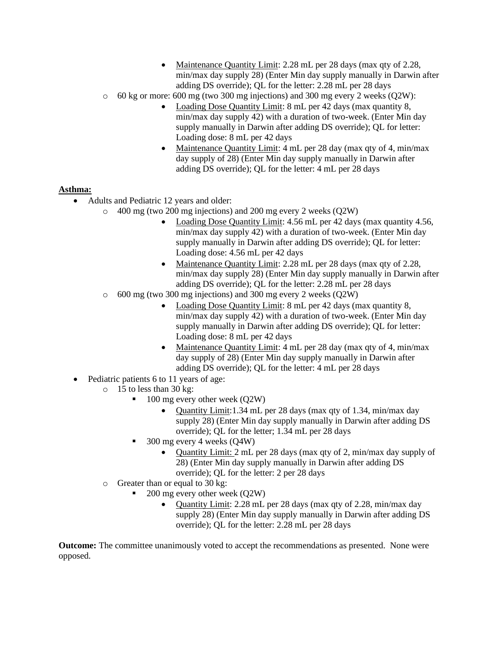- Maintenance Quantity Limit: 2.28 mL per 28 days (max qty of 2.28, min/max day supply 28) (Enter Min day supply manually in Darwin after adding DS override); QL for the letter: 2.28 mL per 28 days
- $\circ$  60 kg or more: 600 mg (two 300 mg injections) and 300 mg every 2 weeks (O2W):
	- Loading Dose Quantity Limit: 8 mL per 42 days (max quantity 8, min/max day supply 42) with a duration of two-week. (Enter Min day supply manually in Darwin after adding DS override); QL for letter: Loading dose: 8 mL per 42 days
	- Maintenance Quantity Limit: 4 mL per 28 day (max qty of 4, min/max day supply of 28) (Enter Min day supply manually in Darwin after adding DS override); QL for the letter: 4 mL per 28 days

# **Asthma:**

- Adults and Pediatric 12 years and older:
	- o 400 mg (two 200 mg injections) and 200 mg every 2 weeks (Q2W)
		- Loading Dose Quantity Limit: 4.56 mL per 42 days (max quantity 4.56, min/max day supply 42) with a duration of two-week. (Enter Min day supply manually in Darwin after adding DS override); QL for letter: Loading dose: 4.56 mL per 42 days
		- Maintenance Quantity Limit: 2.28 mL per 28 days (max qty of 2.28, min/max day supply 28) (Enter Min day supply manually in Darwin after adding DS override); QL for the letter: 2.28 mL per 28 days
	- o 600 mg (two 300 mg injections) and 300 mg every 2 weeks (Q2W)
		- Loading Dose Quantity Limit: 8 mL per 42 days (max quantity 8, min/max day supply 42) with a duration of two-week. (Enter Min day supply manually in Darwin after adding DS override); QL for letter: Loading dose: 8 mL per 42 days
		- Maintenance Quantity Limit: 4 mL per 28 day (max qty of 4, min/max day supply of 28) (Enter Min day supply manually in Darwin after adding DS override); QL for the letter: 4 mL per 28 days
- Pediatric patients 6 to 11 years of age:
	- $\circ$  15 to less than 30 kg:
		- 100 mg every other week (Q2W)
			- Quantity Limit:1.34 mL per 28 days (max qty of 1.34, min/max day supply 28) (Enter Min day supply manually in Darwin after adding DS override); QL for the letter; 1.34 mL per 28 days
		- $300$  mg every 4 weeks  $(O4W)$ 
			- Quantity Limit: 2 mL per 28 days (max qty of 2, min/max day supply of 28) (Enter Min day supply manually in Darwin after adding DS override); QL for the letter: 2 per 28 days
	- o Greater than or equal to 30 kg:
		- 200 mg every other week (Q2W)
			- Quantity Limit: 2.28 mL per 28 days (max qty of 2.28, min/max day supply 28) (Enter Min day supply manually in Darwin after adding DS override); QL for the letter: 2.28 mL per 28 days

**Outcome:** The committee unanimously voted to accept the recommendations as presented. None were opposed.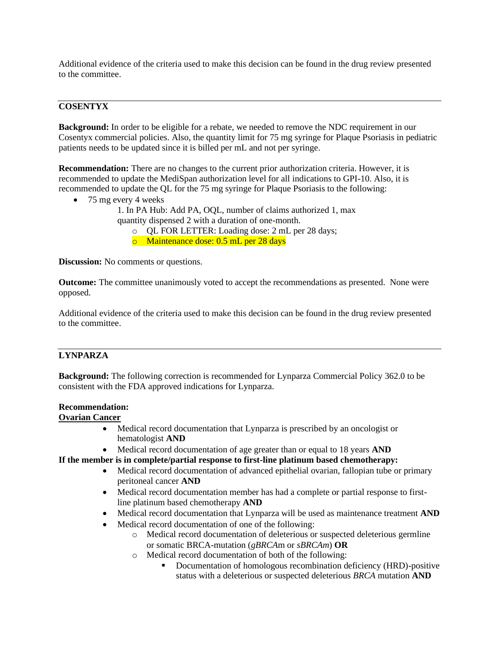Additional evidence of the criteria used to make this decision can be found in the drug review presented to the committee.

### **COSENTYX**

**Background:** In order to be eligible for a rebate, we needed to remove the NDC requirement in our Cosentyx commercial policies. Also, the quantity limit for 75 mg syringe for Plaque Psoriasis in pediatric patients needs to be updated since it is billed per mL and not per syringe.

**Recommendation:** There are no changes to the current prior authorization criteria. However, it is recommended to update the MediSpan authorization level for all indications to GPI-10. Also, it is recommended to update the QL for the 75 mg syringe for Plaque Psoriasis to the following:

- 75 mg every 4 weeks
	- 1. In PA Hub: Add PA, OQL, number of claims authorized 1, max quantity dispensed 2 with a duration of one-month.
		- o QL FOR LETTER: Loading dose: 2 mL per 28 days;
		- o Maintenance dose: 0.5 mL per 28 days

**Discussion:** No comments or questions.

**Outcome:** The committee unanimously voted to accept the recommendations as presented. None were opposed.

Additional evidence of the criteria used to make this decision can be found in the drug review presented to the committee.

### **LYNPARZA**

**Background:** The following correction is recommended for Lynparza Commercial Policy 362.0 to be consistent with the FDA approved indications for Lynparza.

### **Recommendation:**

### **Ovarian Cancer**

- Medical record documentation that Lynparza is prescribed by an oncologist or hematologist **AND**
- Medical record documentation of age greater than or equal to 18 years **AND**

**If the member is in complete/partial response to first-line platinum based chemotherapy:**

- Medical record documentation of advanced epithelial ovarian, fallopian tube or primary peritoneal cancer **AND**
- Medical record documentation member has had a complete or partial response to firstline platinum based chemotherapy **AND**
- Medical record documentation that Lynparza will be used as maintenance treatment **AND**
- Medical record documentation of one of the following:
	- o Medical record documentation of deleterious or suspected deleterious germline or somatic BRCA-mutation (*gBRCA*m or *sBRCAm*) **OR**
	- o Medical record documentation of both of the following:
		- Documentation of homologous recombination deficiency (HRD)-positive status with a deleterious or suspected deleterious *BRCA* mutation **AND**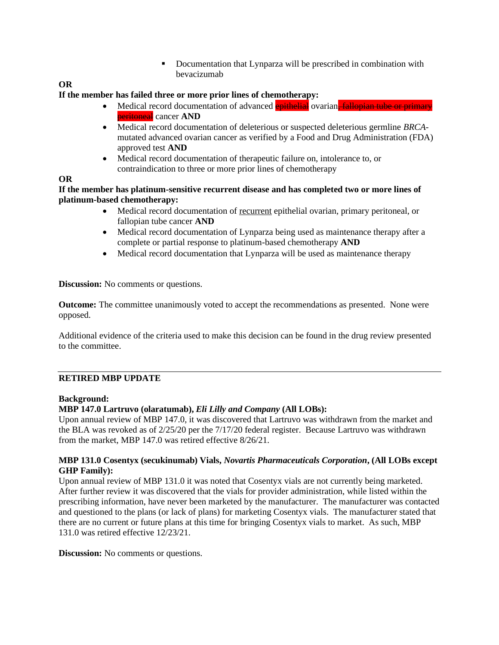■ Documentation that Lynparza will be prescribed in combination with bevacizumab

### **OR**

### **If the member has failed three or more prior lines of chemotherapy:**

- Medical record documentation of advanced epithelial ovarian. fallopian tube or primary peritoneal cancer **AND**
- Medical record documentation of deleterious or suspected deleterious germline *BRCA*mutated advanced ovarian cancer as verified by a Food and Drug Administration (FDA) approved test **AND**
- Medical record documentation of therapeutic failure on, intolerance to, or contraindication to three or more prior lines of chemotherapy

### **OR**

**If the member has platinum-sensitive recurrent disease and has completed two or more lines of platinum-based chemotherapy:**

- Medical record documentation of recurrent epithelial ovarian, primary peritoneal, or fallopian tube cancer **AND**
- Medical record documentation of Lynparza being used as maintenance therapy after a complete or partial response to platinum-based chemotherapy **AND**
- Medical record documentation that Lynparza will be used as maintenance therapy

**Discussion:** No comments or questions.

**Outcome:** The committee unanimously voted to accept the recommendations as presented. None were opposed.

Additional evidence of the criteria used to make this decision can be found in the drug review presented to the committee.

# **RETIRED MBP UPDATE**

### **Background:**

### **MBP 147.0 Lartruvo (olaratumab),** *Eli Lilly and Company* **(All LOBs):**

Upon annual review of MBP 147.0, it was discovered that Lartruvo was withdrawn from the market and the BLA was revoked as of 2/25/20 per the 7/17/20 federal register. Because Lartruvo was withdrawn from the market, MBP 147.0 was retired effective 8/26/21.

### **MBP 131.0 Cosentyx (secukinumab) Vials,** *Novartis Pharmaceuticals Corporation***, (All LOBs except GHP Family):**

Upon annual review of MBP 131.0 it was noted that Cosentyx vials are not currently being marketed. After further review it was discovered that the vials for provider administration, while listed within the prescribing information, have never been marketed by the manufacturer. The manufacturer was contacted and questioned to the plans (or lack of plans) for marketing Cosentyx vials. The manufacturer stated that there are no current or future plans at this time for bringing Cosentyx vials to market. As such, MBP 131.0 was retired effective 12/23/21.

**Discussion:** No comments or questions.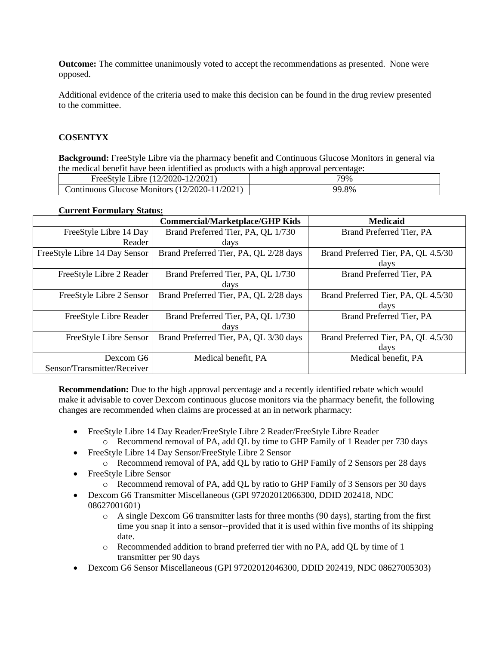**Outcome:** The committee unanimously voted to accept the recommendations as presented. None were opposed.

Additional evidence of the criteria used to make this decision can be found in the drug review presented to the committee.

### **COSENTYX**

**Background:** FreeStyle Libre via the pharmacy benefit and Continuous Glucose Monitors in general via the medical benefit have been identified as products with a high approval percentage:

| Libre (12/2020-12/2021)<br>FreeStyle L        | 79%   |
|-----------------------------------------------|-------|
| Continuous Glucose Monitors (12/2020-11/2021) | 99.8% |

### **Current Formulary Status:**

|                               | <b>Commercial/Marketplace/GHP Kids</b> | <b>Medicaid</b>                     |
|-------------------------------|----------------------------------------|-------------------------------------|
| FreeStyle Libre 14 Day        | Brand Preferred Tier, PA, QL 1/730     | Brand Preferred Tier, PA            |
| Reader                        | days                                   |                                     |
| FreeStyle Libre 14 Day Sensor | Brand Preferred Tier, PA, QL 2/28 days | Brand Preferred Tier, PA, QL 4.5/30 |
|                               |                                        | days                                |
| FreeStyle Libre 2 Reader      | Brand Preferred Tier, PA, QL 1/730     | Brand Preferred Tier, PA            |
|                               | days                                   |                                     |
| FreeStyle Libre 2 Sensor      | Brand Preferred Tier, PA, QL 2/28 days | Brand Preferred Tier, PA, QL 4.5/30 |
|                               |                                        | days                                |
| FreeStyle Libre Reader        | Brand Preferred Tier, PA, QL 1/730     | Brand Preferred Tier, PA            |
|                               | days                                   |                                     |
| FreeStyle Libre Sensor        | Brand Preferred Tier, PA, QL 3/30 days | Brand Preferred Tier, PA, QL 4.5/30 |
|                               |                                        | days                                |
| Dexcom G6                     | Medical benefit, PA                    | Medical benefit, PA                 |
| Sensor/Transmitter/Receiver   |                                        |                                     |

**Recommendation:** Due to the high approval percentage and a recently identified rebate which would make it advisable to cover Dexcom continuous glucose monitors via the pharmacy benefit, the following changes are recommended when claims are processed at an in network pharmacy:

- FreeStyle Libre 14 Day Reader/FreeStyle Libre 2 Reader/FreeStyle Libre Reader o Recommend removal of PA, add QL by time to GHP Family of 1 Reader per 730 days
- FreeStyle Libre 14 Day Sensor/FreeStyle Libre 2 Sensor
	- o Recommend removal of PA, add QL by ratio to GHP Family of 2 Sensors per 28 days
- FreeStyle Libre Sensor
	- o Recommend removal of PA, add QL by ratio to GHP Family of 3 Sensors per 30 days
- Dexcom G6 Transmitter Miscellaneous (GPI 97202012066300, DDID 202418, NDC 08627001601)
	- o A single Dexcom G6 transmitter lasts for three months (90 days), starting from the first time you snap it into a sensor--provided that it is used within five months of its shipping date.
	- o Recommended addition to brand preferred tier with no PA, add QL by time of 1 transmitter per 90 days
- Dexcom G6 Sensor Miscellaneous (GPI 97202012046300, DDID 202419, NDC 08627005303)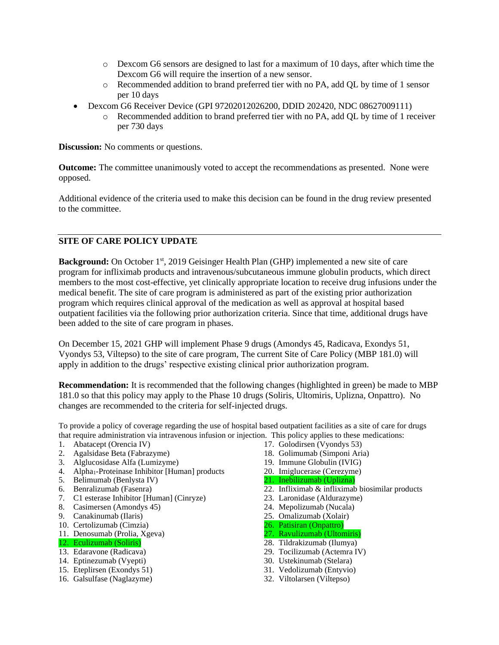- o Dexcom G6 sensors are designed to last for a maximum of 10 days, after which time the Dexcom G6 will require the insertion of a new sensor.
- o Recommended addition to brand preferred tier with no PA, add QL by time of 1 sensor per 10 days
- Dexcom G6 Receiver Device (GPI 97202012026200, DDID 202420, NDC 08627009111)
	- o Recommended addition to brand preferred tier with no PA, add QL by time of 1 receiver per 730 days

**Discussion:** No comments or questions.

**Outcome:** The committee unanimously voted to accept the recommendations as presented. None were opposed.

Additional evidence of the criteria used to make this decision can be found in the drug review presented to the committee.

### **SITE OF CARE POLICY UPDATE**

**Background:** On October 1st, 2019 Geisinger Health Plan (GHP) implemented a new site of care program for infliximab products and intravenous/subcutaneous immune globulin products, which direct members to the most cost-effective, yet clinically appropriate location to receive drug infusions under the medical benefit. The site of care program is administered as part of the existing prior authorization program which requires clinical approval of the medication as well as approval at hospital based outpatient facilities via the following prior authorization criteria. Since that time, additional drugs have been added to the site of care program in phases.

On December 15, 2021 GHP will implement Phase 9 drugs (Amondys 45, Radicava, Exondys 51, Vyondys 53, Viltepso) to the site of care program, The current Site of Care Policy (MBP 181.0) will apply in addition to the drugs' respective existing clinical prior authorization program.

**Recommendation:** It is recommended that the following changes (highlighted in green) be made to MBP 181.0 so that this policy may apply to the Phase 10 drugs (Soliris, Ultomiris, Uplizna, Onpattro). No changes are recommended to the criteria for self-injected drugs.

To provide a policy of coverage regarding the use of hospital based outpatient facilities as a site of care for drugs that require administration via intravenous infusion or injection. This policy applies to these medications:

- 1. Abatacept (Orencia IV)
- 2. Agalsidase Beta (Fabrazyme)
- 3. Alglucosidase Alfa (Lumizyme)
- 4. Alpha<sub>1</sub>-Proteinase Inhibitor [Human] products
- 5. Belimumab (Benlysta IV)
- 6. Benralizumab (Fasenra)
- 7. C1 esterase Inhibitor [Human] (Cinryze)
- 8. Casimersen (Amondys 45)
- 9. Canakinumab (Ilaris)
- 10. Certolizumab (Cimzia)
- 11. Denosumab (Prolia, Xgeva)
- 12. Eculizumab (Soliris)
- 13. Edaravone (Radicava)
- 14. Eptinezumab (Vyepti)
- 15. Eteplirsen (Exondys 51)
- 16. Galsulfase (Naglazyme)
- 17. Golodirsen (Vyondys 53)
- 18. Golimumab (Simponi Aria)
- 19. Immune Globulin (IVIG)
- 20. Imiglucerase (Cerezyme)
- 21. Inebilizumab (Uplizna)
- 22. Infliximab & infliximab biosimilar products
- 23. Laronidase (Aldurazyme)
- 24. Mepolizumab (Nucala)
- 25. Omalizumab (Xolair)
- 26. Patisiran (Onpattro)
- 27. Ravulizumab (Ultomiris)
- 28. Tildrakizumab (Ilumya)
- 29. Tocilizumab (Actemra IV)
- 30. Ustekinumab (Stelara) 31. Vedolizumab (Entyvio)
- 32. Viltolarsen (Viltepso)
-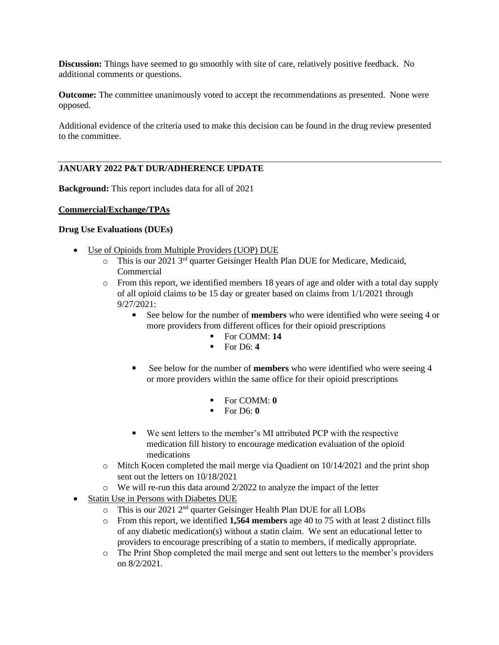**Discussion:** Things have seemed to go smoothly with site of care, relatively positive feedback. No additional comments or questions.

**Outcome:** The committee unanimously voted to accept the recommendations as presented. None were opposed.

Additional evidence of the criteria used to make this decision can be found in the drug review presented to the committee.

### **JANUARY 2022 P&T DUR/ADHERENCE UPDATE**

**Background:** This report includes data for all of 2021

#### **Commercial/Exchange/TPAs**

#### **Drug Use Evaluations (DUEs)**

- Use of Opioids from Multiple Providers (UOP) DUE
	- $\circ$  This is our 2021 3<sup>rd</sup> quarter Geisinger Health Plan DUE for Medicare, Medicaid, Commercial
	- o From this report, we identified members 18 years of age and older with a total day supply of all opioid claims to be 15 day or greater based on claims from 1/1/2021 through 9/27/2021:
		- See below for the number of **members** who were identified who were seeing 4 or more providers from different offices for their opioid prescriptions
			- For COMM: **14**
			- For D6: **4**
		- See below for the number of **members** who were identified who were seeing 4 or more providers within the same office for their opioid prescriptions
			- For COMM: **0**
			- $\blacksquare$  For D6:  $\blacksquare$
		- We sent letters to the member's MI attributed PCP with the respective medication fill history to encourage medication evaluation of the opioid medications
	- o Mitch Kocen completed the mail merge via Quadient on 10/14/2021 and the print shop sent out the letters on 10/18/2021
	- o We will re-run this data around 2/2022 to analyze the impact of the letter
- Statin Use in Persons with Diabetes DUE
	- o This is our 2021 2nd quarter Geisinger Health Plan DUE for all LOBs
	- o From this report, we identified **1,564 members** age 40 to 75 with at least 2 distinct fills of any diabetic medication(s) without a statin claim. We sent an educational letter to providers to encourage prescribing of a statin to members, if medically appropriate.
	- o The Print Shop completed the mail merge and sent out letters to the member's providers on 8/2/2021.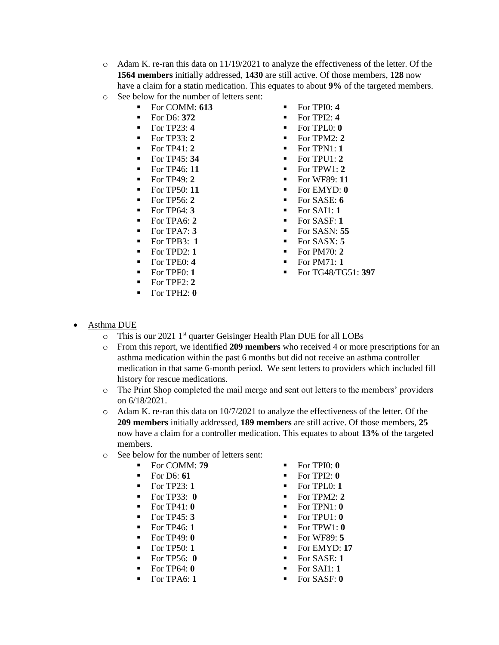- o Adam K. re-ran this data on 11/19/2021 to analyze the effectiveness of the letter. Of the **1564 members** initially addressed, **1430** are still active. Of those members, **128** now have a claim for a statin medication. This equates to about **9%** of the targeted members.
- o See below for the number of letters sent:
	- For COMM: **613** For TPI0: **4**
	-
	-
	-
	- For TP41: **2**
	- For TP45: **34**
	- For TP46: **11**
	- For TP49: **2**
	- For TP50: **11**
	- For TP56: **2**
	- For TP64: **3**
	- For TPA6: **2**
	- For TPA7: **3**
	- For TPB3: **1**
	- For TPD2: **1**
	- For TPE0: **4**
	- For TPF0: **1**
	- For TPF2: **2**
	- For TPH2: **0**
- 
- For D6: **372** For TPI2: **4**
- $\blacksquare$  For TP23: 4  $\blacksquare$  For TPL0: 0
	- $\text{For TP33: } 2 \quad \text{For TPM2: } 2$ 
		- For TPN1: **1**
		- $\blacksquare$  For TPU1: 2
		- $\blacksquare$  For TPW1: 2
		- For WF89: **11**
		- For EMYD: 0
		- For SASE: **6**
		- For SAI1: **1**
		- For SASF: **1**
		- For SASN: **55**
		- For SASX: **5**
		- For PM70: **2**
		- For PM71: **1**
		- For TG48/TG51: **397**

- **Asthma DUE** 
	- o This is our 2021 1<sup>st</sup> quarter Geisinger Health Plan DUE for all LOBs
	- o From this report, we identified **209 members** who received 4 or more prescriptions for an asthma medication within the past 6 months but did not receive an asthma controller medication in that same 6-month period. We sent letters to providers which included fill history for rescue medications.
	- o The Print Shop completed the mail merge and sent out letters to the members' providers on 6/18/2021.
	- o Adam K. re-ran this data on 10/7/2021 to analyze the effectiveness of the letter. Of the **209 members** initially addressed, **189 members** are still active. Of those members, **25**  now have a claim for a controller medication. This equates to about **13%** of the targeted members.
	- o See below for the number of letters sent:
		-
		-
		-
		-
		- $\blacksquare$  For TP41:  $\blacksquare$
		- For TP45: **3**
		- For TP46: **1**
		- For TP49: **0**
		- For TP50: **1**
		- For TP56: **0**
		- For TP64: **0**
		- For TPA6: **1**
- For COMM: **79** For TPI0: **0**
- For D6: **61** For TPI2: **0**
- $\text{For TP23: 1} \quad \text{For TP1.0: 1}$
- $\blacksquare$  For TP33:  $\blacksquare$  For TPM2: 2
	- $\blacksquare$  For TPN1:  $\boldsymbol{0}$
	- $\blacksquare$  For TPU1:  $\blacksquare$
	-
	-
	-
	-
	-
	-
	-
	- $\blacksquare$  For TPW1:  $\boldsymbol{0}$ 
		- For WF89: **5**
		- For EMYD: **17**
		- For SASE: 1
		- For SAI1: **1**
		- For SASF: 0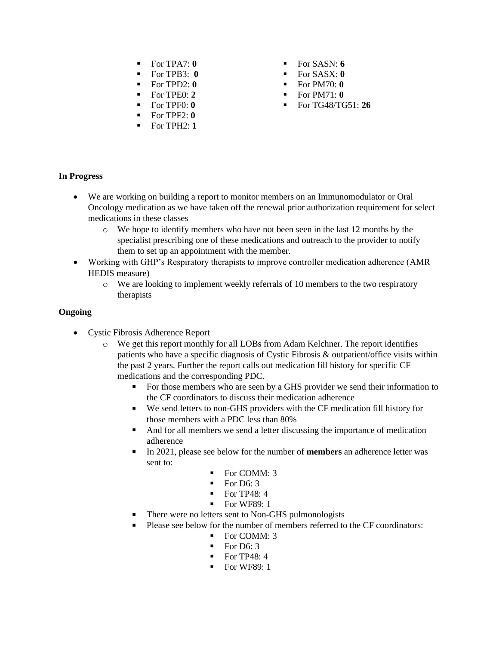- $\blacksquare$  For TPA7:  $\boldsymbol{0}$
- For TPB3: **0**
- For TPD2: **0**
- For TPE0: **2**
- For TPF0: **0**
- For TPF2: **0**
- For TPH2: **1**
- $\blacksquare$  For SASN: 6
- For SASX: **0**
- $For PM70: 0$
- $\blacksquare$  For PM71:  $\blacksquare$
- For TG48/TG51: **26**

### **In Progress**

- We are working on building a report to monitor members on an Immunomodulator or Oral Oncology medication as we have taken off the renewal prior authorization requirement for select medications in these classes
	- o We hope to identify members who have not been seen in the last 12 months by the specialist prescribing one of these medications and outreach to the provider to notify them to set up an appointment with the member.
- Working with GHP's Respiratory therapists to improve controller medication adherence (AMR HEDIS measure)
	- $\circ$  We are looking to implement weekly referrals of 10 members to the two respiratory therapists

### **Ongoing**

- Cystic Fibrosis Adherence Report
	- o We get this report monthly for all LOBs from Adam Kelchner. The report identifies patients who have a specific diagnosis of Cystic Fibrosis & outpatient/office visits within the past 2 years. Further the report calls out medication fill history for specific CF medications and the corresponding PDC.
		- For those members who are seen by a GHS provider we send their information to the CF coordinators to discuss their medication adherence
		- We send letters to non-GHS providers with the CF medication fill history for those members with a PDC less than 80%
		- And for all members we send a letter discussing the importance of medication adherence
		- In 2021, please see below for the number of **members** an adherence letter was sent to:
			- For COMM: 3
			- $\blacksquare$  For D6: 3
			- $\blacksquare$  For TP48: 4
			- For WF89: 1
		- There were no letters sent to Non-GHS pulmonologists
		- Please see below for the number of members referred to the CF coordinators:
			- For COMM: 3
			- $\blacksquare$  For D6: 3
			- $\blacksquare$  For TP48: 4
			- For WF89: 1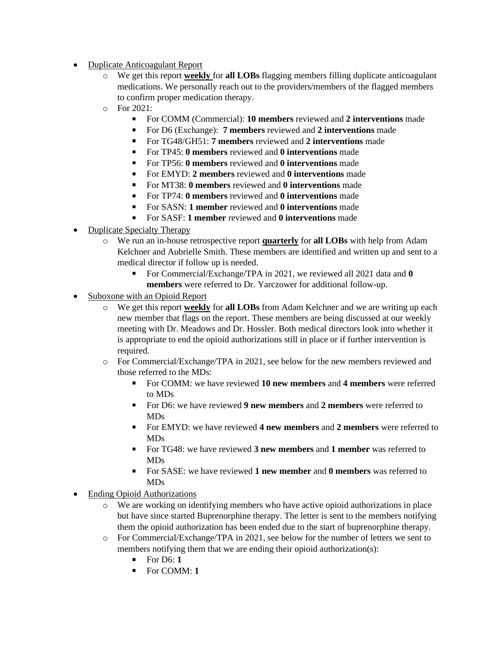- Duplicate Anticoagulant Report
	- o We get this report **weekly** for **all LOBs** flagging members filling duplicate anticoagulant medications. We personally reach out to the providers/members of the flagged members to confirm proper medication therapy.
	- o For 2021:
		- For COMM (Commercial): **10 members** reviewed and **2 interventions** made
		- For D6 (Exchange): **7 members** reviewed and **2 interventions** made
		- For TG48/GH51: **7 members** reviewed and **2 interventions** made
		- For TP45: **0 members** reviewed and **0 interventions** made
		- For TP56: **0 members** reviewed and **0 interventions** made
		- For EMYD: **2 members** reviewed and **0 interventions** made
		- For MT38: **0 members** reviewed and **0 interventions** made
		- For TP74: **0 members** reviewed and **0 interventions** made
		- For SASN: **1 member** reviewed and **0 interventions** made
		- For SASF: **1 member** reviewed and **0 interventions** made
- Duplicate Specialty Therapy
	- o We run an in-house retrospective report **quarterly** for **all LOBs** with help from Adam Kelchner and Aubrielle Smith. These members are identified and written up and sent to a medical director if follow up is needed.
		- For Commercial/Exchange/TPA in 2021, we reviewed all 2021 data and **0 members** were referred to Dr. Yarczower for additional follow-up.
- Suboxone with an Opioid Report
	- o We get this report **weekly** for **all LOBs** from Adam Kelchner and we are writing up each new member that flags on the report. These members are being discussed at our weekly meeting with Dr. Meadows and Dr. Hossler. Both medical directors look into whether it is appropriate to end the opioid authorizations still in place or if further intervention is required.
	- o For Commercial/Exchange/TPA in 2021, see below for the new members reviewed and those referred to the MDs:
		- For COMM: we have reviewed **10 new members** and **4 members** were referred to MDs
		- For D6: we have reviewed **9 new members** and **2 members** were referred to MDs
		- For EMYD: we have reviewed **4 new members** and **2 members** were referred to MDs
		- For TG48: we have reviewed **3 new members** and **1 member** was referred to MDs
		- For SASE: we have reviewed **1 new member** and **0 members** was referred to MDs
- Ending Opioid Authorizations
	- o We are working on identifying members who have active opioid authorizations in place but have since started Buprenorphine therapy. The letter is sent to the members notifying them the opioid authorization has been ended due to the start of buprenorphine therapy.
	- o For Commercial/Exchange/TPA in 2021, see below for the number of letters we sent to members notifying them that we are ending their opioid authorization(s):
		- $\blacksquare$  For D6: 1
		- For COMM: **1**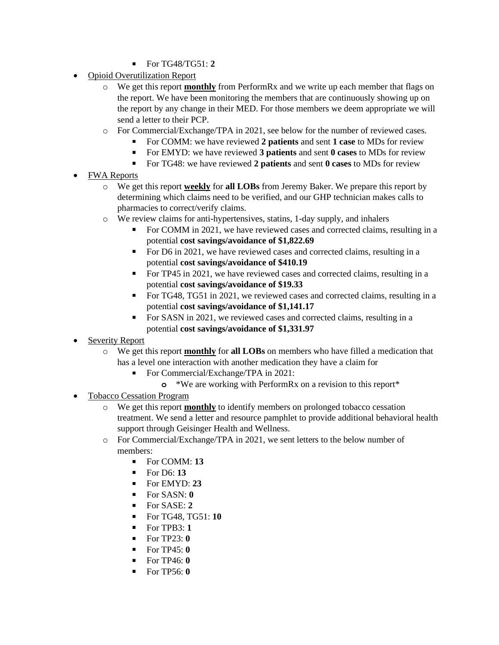- For TG48/TG51: **2**
- Opioid Overutilization Report
	- o We get this report **monthly** from PerformRx and we write up each member that flags on the report. We have been monitoring the members that are continuously showing up on the report by any change in their MED. For those members we deem appropriate we will send a letter to their PCP.
	- o For Commercial/Exchange/TPA in 2021, see below for the number of reviewed cases.
		- For COMM: we have reviewed **2 patients** and sent **1 case** to MDs for review
		- For EMYD: we have reviewed **3 patients** and sent **0 cases** to MDs for review
		- For TG48: we have reviewed 2 patients and sent 0 cases to MDs for review
- FWA Reports
	- o We get this report **weekly** for **all LOBs** from Jeremy Baker. We prepare this report by determining which claims need to be verified, and our GHP technician makes calls to pharmacies to correct/verify claims.
	- o We review claims for anti-hypertensives, statins, 1-day supply, and inhalers
		- For COMM in 2021, we have reviewed cases and corrected claims, resulting in a potential **cost savings/avoidance of \$1,822.69**
		- For D6 in 2021, we have reviewed cases and corrected claims, resulting in a potential **cost savings/avoidance of \$410.19**
		- For TP45 in 2021, we have reviewed cases and corrected claims, resulting in a potential **cost savings/avoidance of \$19.33**
		- For TG48, TG51 in 2021, we reviewed cases and corrected claims, resulting in a potential **cost savings/avoidance of \$1,141.17**
		- For SASN in 2021, we reviewed cases and corrected claims, resulting in a potential **cost savings/avoidance of \$1,331.97**
- Severity Report
	- o We get this report **monthly** for **all LOBs** on members who have filled a medication that has a level one interaction with another medication they have a claim for
		- For Commercial/Exchange/TPA in 2021:
			- **o** \*We are working with PerformRx on a revision to this report\*
- Tobacco Cessation Program
	- o We get this report **monthly** to identify members on prolonged tobacco cessation treatment. We send a letter and resource pamphlet to provide additional behavioral health support through Geisinger Health and Wellness.
	- o For Commercial/Exchange/TPA in 2021, we sent letters to the below number of members:
		- For COMM: **13**
		- For D6: **13**
		- For EMYD: **23**
		- $\blacksquare$  For SASN:  $\boldsymbol{0}$
		- For SASE: 2
		- For TG48, TG51: **10**
		- $\blacksquare$  For TPB3: 1
		- For TP23: **0**
		- $\blacksquare$  For TP45:  $\blacksquare$
		- For TP46: **0**
		- For TP56: **0**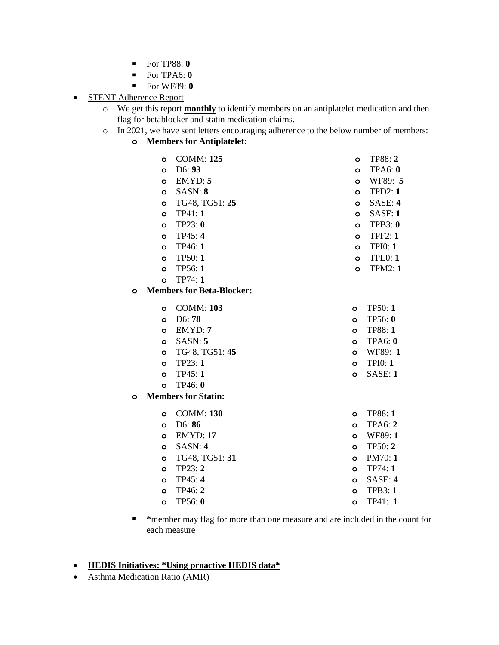- For TP88: **0**
- $\blacksquare$  For TPA6:  $\boldsymbol{0}$
- For WF89: **0**
- **STENT Adherence Report** 
	- o We get this report **monthly** to identify members on an antiplatelet medication and then flag for betablocker and statin medication claims.
	- o In 2021, we have sent letters encouraging adherence to the below number of members:
		- **o Members for Antiplatelet:**

|   | O       | <b>COMM: 125</b>                 | $\circ$      | <b>TP88: 2</b> |
|---|---------|----------------------------------|--------------|----------------|
|   | O       | D6: 93                           | $\circ$      | TPA6:0         |
|   | $\circ$ | EMYD: 5                          | $\circ$      | WF89: 5        |
|   | O       | SASN: 8                          | $\circ$      | TPD2:1         |
|   | O       | TG48, TG51: 25                   | $\circ$      | SASE: 4        |
|   | Ō       | TP41:1                           | $\circ$      | SASF: 1        |
|   | O       | TP23: 0                          | $\circ$      | <b>TPB3: 0</b> |
|   | $\circ$ | TP45: 4                          | $\circ$      | <b>TPF2: 1</b> |
|   | $\circ$ | TP46: 1                          | $\circ$      | TPIO: 1        |
|   | $\circ$ | TP50:1                           | $\circ$      | <b>TPL0: 1</b> |
|   | Ō       | TP56:1                           | $\circ$      | <b>TPM2: 1</b> |
|   | Ō       | TP74: 1                          |              |                |
| O |         | <b>Members for Beta-Blocker:</b> |              |                |
|   |         |                                  |              |                |
|   | O       | <b>COMM: 103</b>                 | O            | <b>TP50: 1</b> |
|   | $\circ$ | D6:78                            | O            | TP56: 0        |
|   | $\circ$ | EMYD: 7                          | $\circ$      | <b>TP88: 1</b> |
|   | $\circ$ | SASN: 5                          | $\circ$      | <b>TPA6: 0</b> |
|   | O       | TG48, TG51: 45                   | O            | WF89: 1        |
|   | O       | TP23:1                           | $\mathbf{o}$ | <b>TPI0: 1</b> |
|   | Ō       | TP45:1                           | Ō            | SASE: 1        |
|   | Ō       | TP46: 0                          |              |                |
| O |         | <b>Members for Statin:</b>       |              |                |
|   | O       | <b>COMM: 130</b>                 | O            | <b>TP88: 1</b> |
|   | $\circ$ | D6:86                            | $\circ$      | <b>TPA6: 2</b> |
|   | O       | <b>EMYD: 17</b>                  | O            | WF89: 1        |
|   | $\circ$ | SASN: 4                          | O            | TP50: 2        |
|   | O       | TG48, TG51: 31                   | O            | PM70:1         |
|   | O       | TP23: 2                          | O            | TP74: 1        |
|   | $\circ$ | TP45: 4                          | O            | SASE: 4        |
|   | $\circ$ | TP46: 2                          | O            | <b>TPB3: 1</b> |
|   | $\circ$ | TP56: 0                          | $\circ$      | TP41: 1        |
|   |         |                                  |              |                |

▪ \*member may flag for more than one measure and are included in the count for each measure

#### • **HEDIS Initiatives: \*Using proactive HEDIS data\***

• Asthma Medication Ratio (AMR)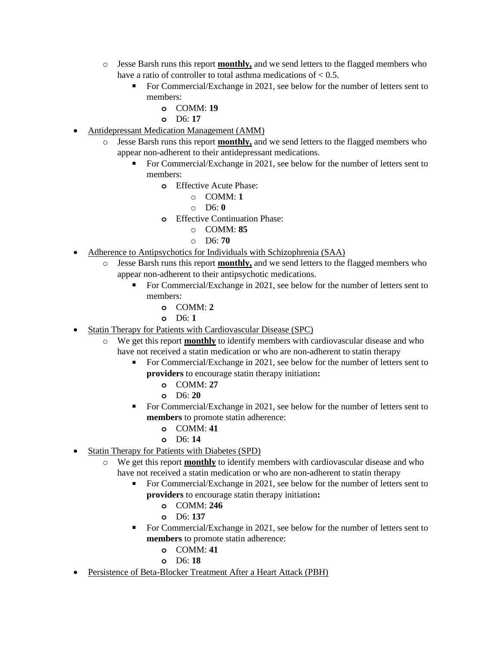- o Jesse Barsh runs this report **monthly,** and we send letters to the flagged members who have a ratio of controller to total asthma medications of  $< 0.5$ .
	- For Commercial/Exchange in 2021, see below for the number of letters sent to members:
		- **o** COMM: **19**
		- **o** D6: **17**
- Antidepressant Medication Management (AMM)
	- o Jesse Barsh runs this report **monthly,** and we send letters to the flagged members who appear non-adherent to their antidepressant medications.
		- For Commercial/Exchange in 2021, see below for the number of letters sent to members:
			- **o** Effective Acute Phase:
				- o COMM: **1**
				- o D6: **0**
				- **o** Effective Continuation Phase:
					- o COMM: **85**
					- o D6: **70**
- Adherence to Antipsychotics for Individuals with Schizophrenia (SAA)
	- o Jesse Barsh runs this report **monthly,** and we send letters to the flagged members who appear non-adherent to their antipsychotic medications.
		- For Commercial/Exchange in 2021, see below for the number of letters sent to members:
			- **o** COMM: **2**
			- **o** D6: **1**
- Statin Therapy for Patients with Cardiovascular Disease (SPC)
	- o We get this report **monthly** to identify members with cardiovascular disease and who have not received a statin medication or who are non-adherent to statin therapy
		- For Commercial/Exchange in 2021, see below for the number of letters sent to **providers** to encourage statin therapy initiation**:**
			- **o** COMM: **27**
			- **o** D6: **20**
		- For Commercial/Exchange in 2021, see below for the number of letters sent to **members** to promote statin adherence:
			- **o** COMM: **41**
			- **o** D6: **14**
- Statin Therapy for Patients with Diabetes (SPD)
	- o We get this report **monthly** to identify members with cardiovascular disease and who have not received a statin medication or who are non-adherent to statin therapy
		- For Commercial/Exchange in 2021, see below for the number of letters sent to **providers** to encourage statin therapy initiation**:**
			- **o** COMM: **246**
			- **o** D6: **137**
		- For Commercial/Exchange in 2021, see below for the number of letters sent to **members** to promote statin adherence:
			- **o** COMM: **41**
			- **o** D6: **18**
- Persistence of Beta-Blocker Treatment After a Heart Attack (PBH)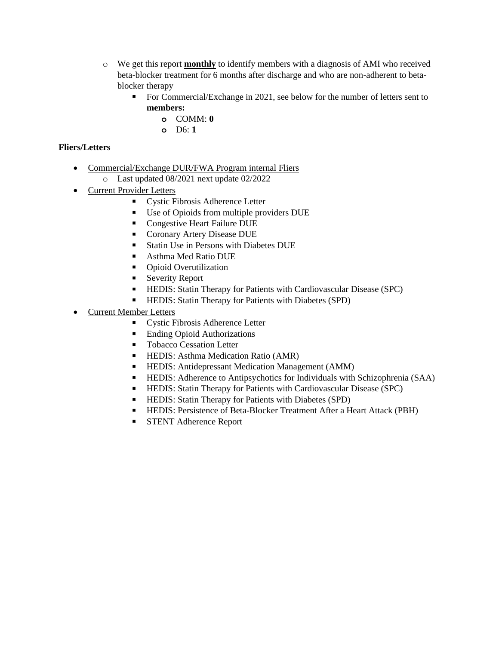- o We get this report **monthly** to identify members with a diagnosis of AMI who received beta-blocker treatment for 6 months after discharge and who are non-adherent to betablocker therapy
	- For Commercial/Exchange in 2021, see below for the number of letters sent to **members:** 
		- **o** COMM: **0**
		- **o** D6: **1**

# **Fliers/Letters**

- Commercial/Exchange DUR/FWA Program internal Fliers
	- o Last updated 08/2021 next update 02/2022
- Current Provider Letters
	- Cystic Fibrosis Adherence Letter
	- Use of Opioids from multiple providers DUE
	- Congestive Heart Failure DUE
	- Coronary Artery Disease DUE
	- Statin Use in Persons with Diabetes DUE
	- Asthma Med Ratio DUE
	- Opioid Overutilization
	- **Exercity Report**
	- **EXECUTE:** Statin Therapy for Patients with Cardiovascular Disease (SPC)
	- HEDIS: Statin Therapy for Patients with Diabetes (SPD)
- Current Member Letters
	- Cystic Fibrosis Adherence Letter
	- Ending Opioid Authorizations
	- Tobacco Cessation Letter
	- HEDIS: Asthma Medication Ratio (AMR)
	- HEDIS: Antidepressant Medication Management (AMM)
	- **EXECUTE:** Adherence to Antipsychotics for Individuals with Schizophrenia (SAA)
	- **EXECUTE:** Statin Therapy for Patients with Cardiovascular Disease (SPC)
	- HEDIS: Statin Therapy for Patients with Diabetes (SPD)
	- HEDIS: Persistence of Beta-Blocker Treatment After a Heart Attack (PBH)
	- STENT Adherence Report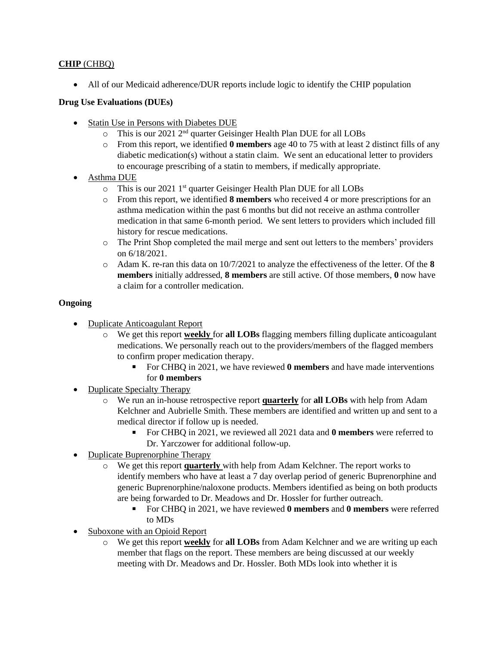# **CHIP** (CHBQ)

• All of our Medicaid adherence/DUR reports include logic to identify the CHIP population

### **Drug Use Evaluations (DUEs)**

- Statin Use in Persons with Diabetes DUE
	- o This is our 2021 2nd quarter Geisinger Health Plan DUE for all LOBs
	- o From this report, we identified **0 members** age 40 to 75 with at least 2 distinct fills of any diabetic medication(s) without a statin claim. We sent an educational letter to providers to encourage prescribing of a statin to members, if medically appropriate.
- Asthma DUE
	- $\circ$  This is our 2021 1<sup>st</sup> quarter Geisinger Health Plan DUE for all LOBs
	- o From this report, we identified **8 members** who received 4 or more prescriptions for an asthma medication within the past 6 months but did not receive an asthma controller medication in that same 6-month period. We sent letters to providers which included fill history for rescue medications.
	- o The Print Shop completed the mail merge and sent out letters to the members' providers on 6/18/2021.
	- o Adam K. re-ran this data on 10/7/2021 to analyze the effectiveness of the letter. Of the **8 members** initially addressed, **8 members** are still active. Of those members, **0** now have a claim for a controller medication.

### **Ongoing**

- Duplicate Anticoagulant Report
	- o We get this report **weekly** for **all LOBs** flagging members filling duplicate anticoagulant medications. We personally reach out to the providers/members of the flagged members to confirm proper medication therapy.
		- For CHBQ in 2021, we have reviewed **0 members** and have made interventions for **0 members**
- Duplicate Specialty Therapy
	- o We run an in-house retrospective report **quarterly** for **all LOBs** with help from Adam Kelchner and Aubrielle Smith. These members are identified and written up and sent to a medical director if follow up is needed.
		- For CHBQ in 2021, we reviewed all 2021 data and **0 members** were referred to Dr. Yarczower for additional follow-up.
- Duplicate Buprenorphine Therapy
	- o We get this report **quarterly** with help from Adam Kelchner. The report works to identify members who have at least a 7 day overlap period of generic Buprenorphine and generic Buprenorphine/naloxone products. Members identified as being on both products are being forwarded to Dr. Meadows and Dr. Hossler for further outreach.
		- For CHBQ in 2021, we have reviewed **0 members** and **0 members** were referred to MDs
- Suboxone with an Opioid Report
	- o We get this report **weekly** for **all LOBs** from Adam Kelchner and we are writing up each member that flags on the report. These members are being discussed at our weekly meeting with Dr. Meadows and Dr. Hossler. Both MDs look into whether it is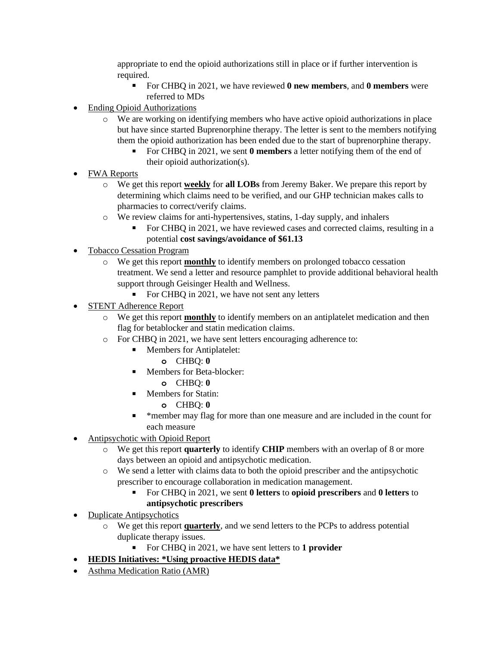appropriate to end the opioid authorizations still in place or if further intervention is required.

- For CHBQ in 2021, we have reviewed **0 new members**, and **0 members** were referred to MDs
- Ending Opioid Authorizations
	- o We are working on identifying members who have active opioid authorizations in place but have since started Buprenorphine therapy. The letter is sent to the members notifying them the opioid authorization has been ended due to the start of buprenorphine therapy.
		- For CHBQ in 2021, we sent **0 members** a letter notifying them of the end of their opioid authorization(s).
- FWA Reports
	- o We get this report **weekly** for **all LOBs** from Jeremy Baker. We prepare this report by determining which claims need to be verified, and our GHP technician makes calls to pharmacies to correct/verify claims.
	- o We review claims for anti-hypertensives, statins, 1-day supply, and inhalers
		- For CHBQ in 2021, we have reviewed cases and corrected claims, resulting in a potential **cost savings/avoidance of \$61.13**
- Tobacco Cessation Program
	- o We get this report **monthly** to identify members on prolonged tobacco cessation treatment. We send a letter and resource pamphlet to provide additional behavioral health support through Geisinger Health and Wellness.
		- For CHBQ in 2021, we have not sent any letters
- **STENT Adherence Report** 
	- o We get this report **monthly** to identify members on an antiplatelet medication and then flag for betablocker and statin medication claims.
	- o For CHBQ in 2021, we have sent letters encouraging adherence to:
		- Members for Antiplatelet:
			- **o** CHBQ: **0**
		- Members for Beta-blocker:
			- **o** CHBQ: **0**
		- Members for Statin:
			- **o** CHBQ: **0**
		- \*member may flag for more than one measure and are included in the count for each measure
- Antipsychotic with Opioid Report
	- o We get this report **quarterly** to identify **CHIP** members with an overlap of 8 or more days between an opioid and antipsychotic medication.
	- o We send a letter with claims data to both the opioid prescriber and the antipsychotic prescriber to encourage collaboration in medication management.
		- For CHBQ in 2021, we sent **0 letters** to **opioid prescribers** and **0 letters** to **antipsychotic prescribers**
- Duplicate Antipsychotics
	- o We get this report **quarterly**, and we send letters to the PCPs to address potential duplicate therapy issues.
		- For CHBQ in 2021, we have sent letters to **1 provider**
- **HEDIS Initiatives: \*Using proactive HEDIS data\***
- Asthma Medication Ratio (AMR)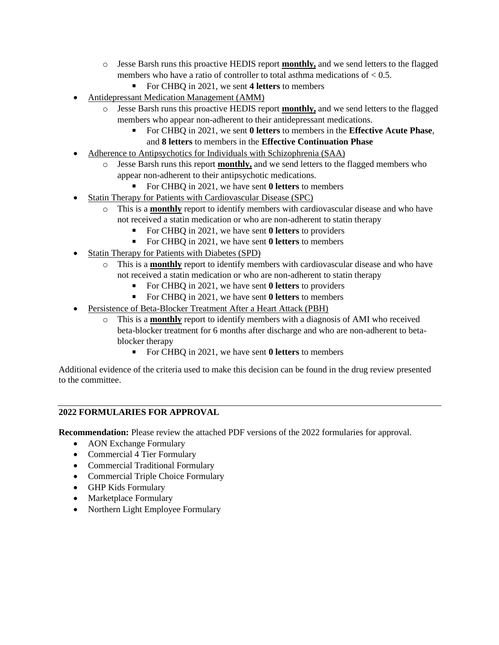- o Jesse Barsh runs this proactive HEDIS report **monthly,** and we send letters to the flagged members who have a ratio of controller to total asthma medications of  $< 0.5$ .
	- For CHBO in 2021, we sent 4 letters to members
- Antidepressant Medication Management (AMM)
	- o Jesse Barsh runs this proactive HEDIS report **monthly,** and we send letters to the flagged members who appear non-adherent to their antidepressant medications.
		- For CHBQ in 2021, we sent **0 letters** to members in the **Effective Acute Phase**, and **8 letters** to members in the **Effective Continuation Phase**
- Adherence to Antipsychotics for Individuals with Schizophrenia (SAA)
	- o Jesse Barsh runs this report **monthly,** and we send letters to the flagged members who appear non-adherent to their antipsychotic medications.
		- For CHBQ in 2021, we have sent **0 letters** to members
- Statin Therapy for Patients with Cardiovascular Disease (SPC)
	- o This is a **monthly** report to identify members with cardiovascular disease and who have not received a statin medication or who are non-adherent to statin therapy
		- For CHBQ in 2021, we have sent **0 letters** to providers
		- For CHBQ in 2021, we have sent **0 letters** to members
- Statin Therapy for Patients with Diabetes (SPD)
	- o This is a **monthly** report to identify members with cardiovascular disease and who have not received a statin medication or who are non-adherent to statin therapy
		- For CHBQ in 2021, we have sent **0 letters** to providers
		- For CHBQ in 2021, we have sent **0 letters** to members
- Persistence of Beta-Blocker Treatment After a Heart Attack (PBH)
	- o This is a **monthly** report to identify members with a diagnosis of AMI who received beta-blocker treatment for 6 months after discharge and who are non-adherent to betablocker therapy
		- For CHBQ in 2021, we have sent **0 letters** to members

Additional evidence of the criteria used to make this decision can be found in the drug review presented to the committee.

# **2022 FORMULARIES FOR APPROVAL**

**Recommendation:** Please review the attached PDF versions of the 2022 formularies for approval.

- AON Exchange Formulary
- Commercial 4 Tier Formulary
- Commercial Traditional Formulary
- Commercial Triple Choice Formulary
- GHP Kids Formulary
- Marketplace Formulary
- Northern Light Employee Formulary